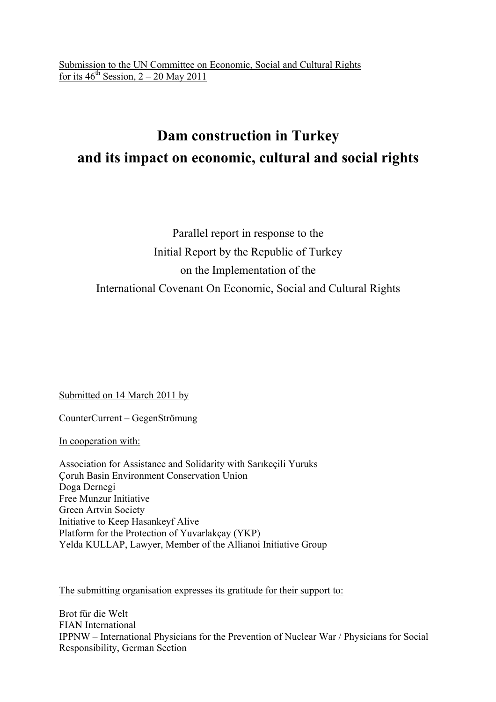# **Dam construction in Turkey and its impact on economic, cultural and social rights**

## Parallel report in response to the Initial Report by the Republic of Turkey on the Implementation of the International Covenant On Economic, Social and Cultural Rights

Submitted on 14 March 2011 by

CounterCurrent – GegenStrömung

In cooperation with:

Association for Assistance and Solidarity with Sarıkeçili Yuruks Çoruh Basin Environment Conservation Union Doga Dernegi Free Munzur Initiative Green Artvin Society Initiative to Keep Hasankeyf Alive Platform for the Protection of Yuvarlakçay (YKP) Yelda KULLAP, Lawyer, Member of the Allianoi Initiative Group

The submitting organisation expresses its gratitude for their support to:

Brot für die Welt FIAN International IPPNW – International Physicians for the Prevention of Nuclear War / Physicians for Social Responsibility, German Section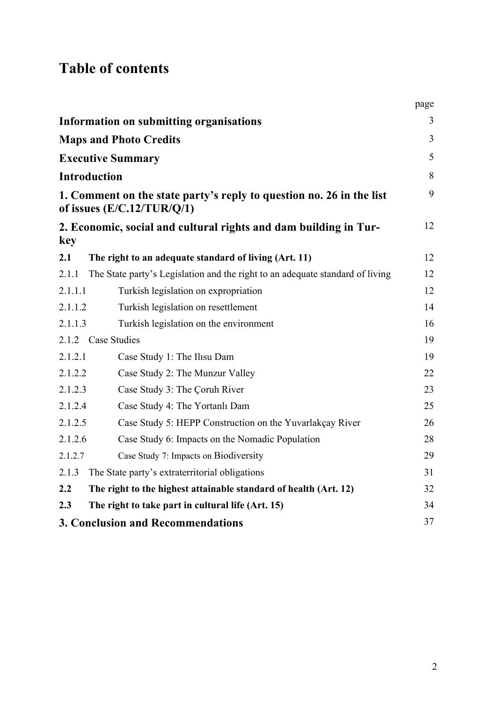# **Table of contents**

|         |                                                                                                      | page           |
|---------|------------------------------------------------------------------------------------------------------|----------------|
|         | <b>Information on submitting organisations</b>                                                       | 3              |
|         | <b>Maps and Photo Credits</b>                                                                        | $\overline{3}$ |
|         | <b>Executive Summary</b>                                                                             | 5              |
|         | <b>Introduction</b>                                                                                  | 8              |
|         | 1. Comment on the state party's reply to question no. 26 in the list<br>of issues $(E/C.12/TUR/Q/1)$ | 9              |
| key     | 2. Economic, social and cultural rights and dam building in Tur-                                     | 12             |
| 2.1     | The right to an adequate standard of living (Art. 11)                                                | 12             |
| 2.1.1   | The State party's Legislation and the right to an adequate standard of living                        | 12             |
| 2.1.1.1 | Turkish legislation on expropriation                                                                 | 12             |
| 2.1.1.2 | Turkish legislation on resettlement                                                                  | 14             |
| 2.1.1.3 | Turkish legislation on the environment                                                               | 16             |
|         | 2.1.2 Case Studies                                                                                   | 19             |
| 2.1.2.1 | Case Study 1: The Ilisu Dam                                                                          | 19             |
| 2.1.2.2 | Case Study 2: The Munzur Valley                                                                      | 22             |
| 2.1.2.3 | Case Study 3: The Coruh River                                                                        | 23             |
| 2.1.2.4 | Case Study 4: The Yortanlı Dam                                                                       | 25             |
| 2.1.2.5 | Case Study 5: HEPP Construction on the Yuvarlakçay River                                             | 26             |
| 2.1.2.6 | Case Study 6: Impacts on the Nomadic Population                                                      | 28             |
| 2.1.2.7 | Case Study 7: Impacts on Biodiversity                                                                | 29             |
| 2.1.3   | The State party's extraterritorial obligations                                                       | 31             |
| 2.2     | The right to the highest attainable standard of health (Art. 12)                                     | 32             |
| 2.3     | The right to take part in cultural life (Art. 15)                                                    | 34             |
|         | <b>3. Conclusion and Recommendations</b>                                                             | 37             |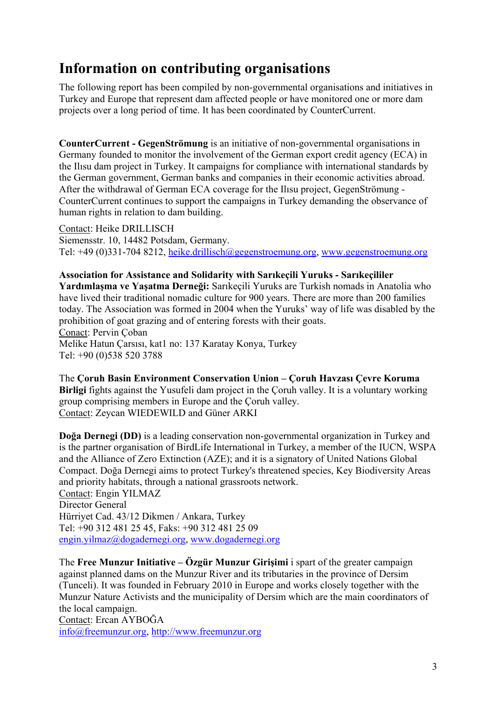## **Information on contributing organisations**

The following report has been compiled by non-governmental organisations and initiatives in Turkey and Europe that represent dam affected people or have monitored one or more dam projects over a long period of time. It has been coordinated by CounterCurrent.

**CounterCurrent - GegenStrömung** is an initiative of non-governmental organisations in Germany founded to monitor the involvement of the German export credit agency (ECA) in the Ilısu dam project in Turkey. It campaigns for compliance with international standards by the German government, German banks and companies in their economic activities abroad. After the withdrawal of German ECA coverage for the Ilısu project, GegenStrömung - CounterCurrent continues to support the campaigns in Turkey demanding the observance of human rights in relation to dam building.

Contact: Heike DRILLISCH Siemensstr. 10, 14482 Potsdam, Germany. Tel: +49 (0)331-704 8212, heike.drillisch@gegenstroemung.org, www.gegenstroemung.org

**Association for Assistance and Solidarity with Sarıkeçili Yuruks - Sarıkeçililer Yardımlaşma ve Yaşatma Derneği:** Sarıkeçili Yuruks are Turkish nomads in Anatolia who have lived their traditional nomadic culture for 900 years. There are more than 200 families today. The Association was formed in 2004 when the Yuruks' way of life was disabled by the prohibition of goat grazing and of entering forests with their goats. Conact: Pervin Çoban Melike Hatun Çarsısı, kat1 no: 137 Karatay Konya, Turkey Tel: +90 (0)538 520 3788

The **Çoruh Basin Environment Conservation Union – Çoruh Havzası Çevre Koruma Birligi** fights against the Yusufeli dam project in the Çoruh valley. It is a voluntary working group comprising members in Europe and the Çoruh valley. Contact: Zeycan WIEDEWILD and Güner ARKI

**Doğa Dernegi (DD)** is a leading conservation non-governmental organization in Turkey and is the partner organisation of BirdLife International in Turkey, a member of the IUCN, WSPA and the Alliance of Zero Extinction (AZE); and it is a signatory of United Nations Global Compact. Doğa Dernegi aims to protect Turkey's threatened species, Key Biodiversity Areas and priority habitats, through a national grassroots network. Contact: Engin YILMAZ Director General Hürriyet Cad. 43/12 Dikmen / Ankara, Turkey Tel: +90 312 481 25 45, Faks: +90 312 481 25 09 engin.yilmaz@dogadernegi.org, www.dogadernegi.org

The **Free Munzur Initiative – Özgür Munzur Girişimi** i spart of the greater campaign against planned dams on the Munzur River and its tributaries in the province of Dersim (Tunceli). It was founded in February 2010 in Europe and works closely together with the Munzur Nature Activists and the municipality of Dersim which are the main coordinators of the local campaign.

Contact: Ercan AYBOĞA info@freemunzur.org, http://www.freemunzur.org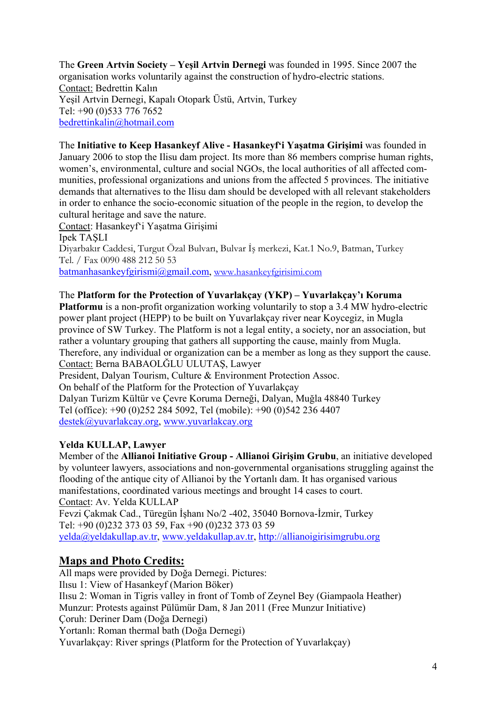The **Green Artvin Society – Yeşil Artvin Dernegi** was founded in 1995. Since 2007 the organisation works voluntarily against the construction of hydro-electric stations. Contact: Bedrettin Kalın Yeşil Artvin Dernegi, Kapalı Otopark Üstü, Artvin, Turkey Tel: +90 (0)533 776 7652 bedrettinkalin@hotmail.com

The **Initiative to Keep Hasankeyf Alive - Hasankeyf'i Yaşatma Girişimi** was founded in January 2006 to stop the Ilisu dam project. Its more than 86 members comprise human rights, women's, environmental, culture and social NGOs, the local authorities of all affected communities, professional organizations and unions from the affected 5 provinces. The initiative demands that alternatives to the Ilisu dam should be developed with all relevant stakeholders in order to enhance the socio-economic situation of the people in the region, to develop the cultural heritage and save the nature.

Contact: Hasankeyf'i Yaşatma Girişimi Ipek TAŞLI Diyarbakır Caddesi, Turgut Özal Bulvarı, Bulvar İş merkezi, Kat.1 No.9, Batman, Turkey Tel. / Fax 0090 488 212 50 53 batmanhasankeyfgirismi@gmail.com, www.hasankeyfgirisimi.com

#### The **Platform for the Protection of Yuvarlakçay (YKP) – Yuvarlakçay'ı Koruma**

**Platformu** is a non-profit organization working voluntarily to stop a 3.4 MW hydro-electric power plant project (HEPP) to be built on Yuvarlakçay river near Koycegiz, in Mugla province of SW Turkey. The Platform is not a legal entity, a society, nor an association, but rather a voluntary grouping that gathers all supporting the cause, mainly from Mugla. Therefore, any individual or organization can be a member as long as they support the cause. Contact: Berna BABAOLĞLU ULUTAŞ, Lawyer President, Dalyan Tourism, Culture & Environment Protection Assoc. On behalf of the Platform for the Protection of Yuvarlakçay Dalyan Turizm Kültür ve Çevre Koruma Derneği, Dalyan, Muğla 48840 Turkey Tel (office): +90 (0)252 284 5092, Tel (mobile): +90 (0)542 236 4407 destek@yuvarlakcay.org, www.yuvarlakcay.org

#### **Yelda KULLAP, Lawyer**

Member of the **Allianoi Initiative Group - Allianoi Girişim Grubu**, an initiative developed by volunteer lawyers, associations and non-governmental organisations struggling against the flooding of the antique city of Allianoi by the Yortanlı dam. It has organised various manifestations, coordinated various meetings and brought 14 cases to court. Contact: Av. Yelda KULLAP Fevzi Çakmak Cad., Türegün İşhanı No/2 -402, 35040 Bornova-İzmir, Turkey Tel: +90 (0)232 373 03 59, Fax +90 (0)232 373 03 59 yelda@yeldakullap.av.tr, www.yeldakullap.av.tr, http://allianoigirisimgrubu.org

#### **Maps and Photo Credits:**

All maps were provided by Doğa Dernegi. Pictures: Ilısu 1: View of Hasankeyf (Marion Böker) Ilısu 2: Woman in Tigris valley in front of Tomb of Zeynel Bey (Giampaola Heather) Munzur: Protests against Pülümür Dam, 8 Jan 2011 (Free Munzur Initiative) Çoruh: Deriner Dam (Doğa Dernegi) Yortanlı: Roman thermal bath (Doğa Dernegi) Yuvarlakçay: River springs (Platform for the Protection of Yuvarlakçay)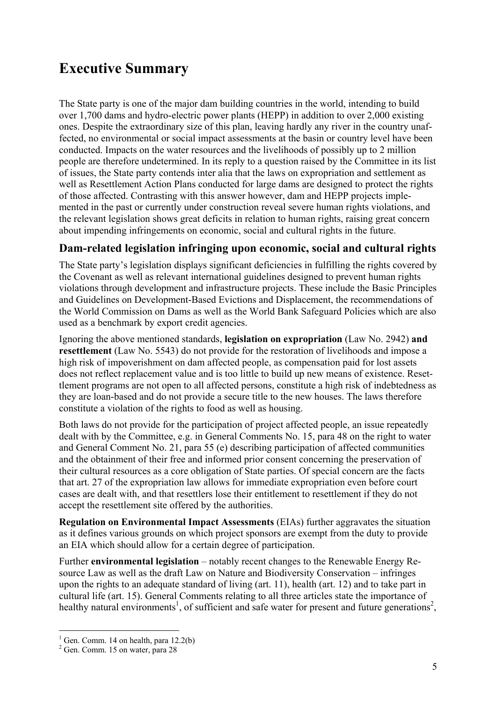## **Executive Summary**

The State party is one of the major dam building countries in the world, intending to build over 1,700 dams and hydro-electric power plants (HEPP) in addition to over 2,000 existing ones. Despite the extraordinary size of this plan, leaving hardly any river in the country unaffected, no environmental or social impact assessments at the basin or country level have been conducted. Impacts on the water resources and the livelihoods of possibly up to 2 million people are therefore undetermined. In its reply to a question raised by the Committee in its list of issues, the State party contends inter alia that the laws on expropriation and settlement as well as Resettlement Action Plans conducted for large dams are designed to protect the rights of those affected. Contrasting with this answer however, dam and HEPP projects implemented in the past or currently under construction reveal severe human rights violations, and the relevant legislation shows great deficits in relation to human rights, raising great concern about impending infringements on economic, social and cultural rights in the future.

#### **Dam-related legislation infringing upon economic, social and cultural rights**

The State party's legislation displays significant deficiencies in fulfilling the rights covered by the Covenant as well as relevant international guidelines designed to prevent human rights violations through development and infrastructure projects. These include the Basic Principles and Guidelines on Development-Based Evictions and Displacement, the recommendations of the World Commission on Dams as well as the World Bank Safeguard Policies which are also used as a benchmark by export credit agencies.

Ignoring the above mentioned standards, **legislation on expropriation** (Law No. 2942) **and resettlement** (Law No. 5543) do not provide for the restoration of livelihoods and impose a high risk of impoverishment on dam affected people, as compensation paid for lost assets does not reflect replacement value and is too little to build up new means of existence. Resettlement programs are not open to all affected persons, constitute a high risk of indebtedness as they are loan-based and do not provide a secure title to the new houses. The laws therefore constitute a violation of the rights to food as well as housing.

Both laws do not provide for the participation of project affected people, an issue repeatedly dealt with by the Committee, e.g. in General Comments No. 15, para 48 on the right to water and General Comment No. 21, para 55 (e) describing participation of affected communities and the obtainment of their free and informed prior consent concerning the preservation of their cultural resources as a core obligation of State parties. Of special concern are the facts that art. 27 of the expropriation law allows for immediate expropriation even before court cases are dealt with, and that resettlers lose their entitlement to resettlement if they do not accept the resettlement site offered by the authorities.

**Regulation on Environmental Impact Assessments** (EIAs) further aggravates the situation as it defines various grounds on which project sponsors are exempt from the duty to provide an EIA which should allow for a certain degree of participation.

Further **environmental legislation** – notably recent changes to the Renewable Energy Resource Law as well as the draft Law on Nature and Biodiversity Conservation – infringes upon the rights to an adequate standard of living (art. 11), health (art. 12) and to take part in cultural life (art. 15). General Comments relating to all three articles state the importance of healthy natural environments<sup>1</sup>, of sufficient and safe water for present and future generations<sup>2</sup>,

 $<sup>1</sup>$  Gen. Comm. 14 on health, para 12.2(b)</sup>

<sup>2</sup> Gen. Comm. 15 on water, para 28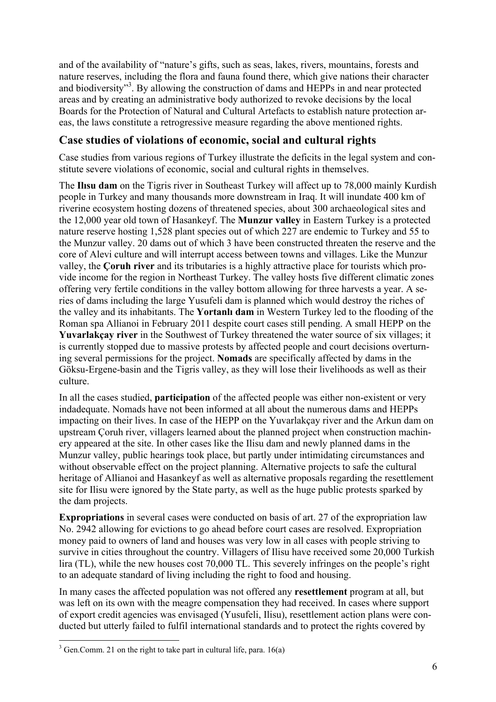and of the availability of "nature's gifts, such as seas, lakes, rivers, mountains, forests and nature reserves, including the flora and fauna found there, which give nations their character and biodiversity"<sup>3</sup>. By allowing the construction of dams and HEPPs in and near protected areas and by creating an administrative body authorized to revoke decisions by the local Boards for the Protection of Natural and Cultural Artefacts to establish nature protection areas, the laws constitute a retrogressive measure regarding the above mentioned rights.

#### **Case studies of violations of economic, social and cultural rights**

Case studies from various regions of Turkey illustrate the deficits in the legal system and constitute severe violations of economic, social and cultural rights in themselves.

The **Ilısu dam** on the Tigris river in Southeast Turkey will affect up to 78,000 mainly Kurdish people in Turkey and many thousands more downstream in Iraq. It will inundate 400 km of riverine ecosystem hosting dozens of threatened species, about 300 archaeological sites and the 12,000 year old town of Hasankeyf. The **Munzur valley** in Eastern Turkey is a protected nature reserve hosting 1,528 plant species out of which 227 are endemic to Turkey and 55 to the Munzur valley. 20 dams out of which 3 have been constructed threaten the reserve and the core of Alevi culture and will interrupt access between towns and villages. Like the Munzur valley, the **Çoruh river** and its tributaries is a highly attractive place for tourists which provide income for the region in Northeast Turkey. The valley hosts five different climatic zones offering very fertile conditions in the valley bottom allowing for three harvests a year. A series of dams including the large Yusufeli dam is planned which would destroy the riches of the valley and its inhabitants. The **Yortanlı dam** in Western Turkey led to the flooding of the Roman spa Allianoi in February 2011 despite court cases still pending. A small HEPP on the **Yuvarlakçay river** in the Southwest of Turkey threatened the water source of six villages; it is currently stopped due to massive protests by affected people and court decisions overturning several permissions for the project. **Nomads** are specifically affected by dams in the Göksu-Ergene-basin and the Tigris valley, as they will lose their livelihoods as well as their culture.

In all the cases studied, **participation** of the affected people was either non-existent or very indadequate. Nomads have not been informed at all about the numerous dams and HEPPs impacting on their lives. In case of the HEPP on the Yuvarlakçay river and the Arkun dam on upstream Çoruh river, villagers learned about the planned project when construction machinery appeared at the site. In other cases like the Ilisu dam and newly planned dams in the Munzur valley, public hearings took place, but partly under intimidating circumstances and without observable effect on the project planning. Alternative projects to safe the cultural heritage of Allianoi and Hasankeyf as well as alternative proposals regarding the resettlement site for Ilisu were ignored by the State party, as well as the huge public protests sparked by the dam projects.

**Expropriations** in several cases were conducted on basis of art. 27 of the expropriation law No. 2942 allowing for evictions to go ahead before court cases are resolved. Expropriation money paid to owners of land and houses was very low in all cases with people striving to survive in cities throughout the country. Villagers of Ilisu have received some 20,000 Turkish lira (TL), while the new houses cost 70,000 TL. This severely infringes on the people's right to an adequate standard of living including the right to food and housing.

In many cases the affected population was not offered any **resettlement** program at all, but was left on its own with the meagre compensation they had received. In cases where support of export credit agencies was envisaged (Yusufeli, Ilisu), resettlement action plans were conducted but utterly failed to fulfil international standards and to protect the rights covered by

 $\overline{a}$  $3$  Gen.Comm. 21 on the right to take part in cultural life, para. 16(a)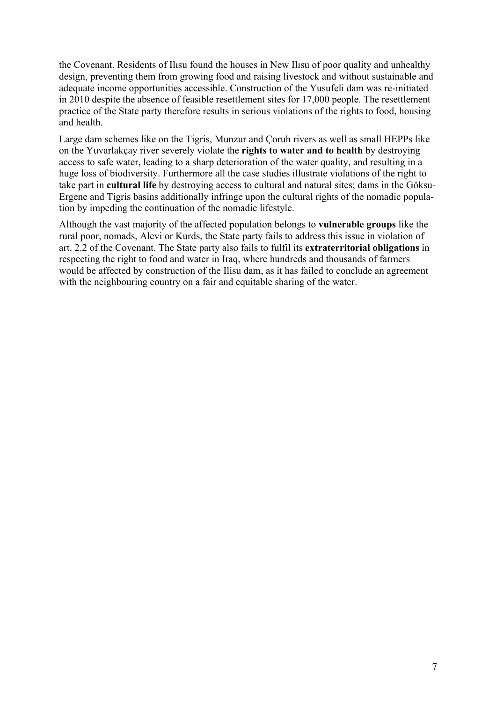the Covenant. Residents of Ilısu found the houses in New Ilısu of poor quality and unhealthy design, preventing them from growing food and raising livestock and without sustainable and adequate income opportunities accessible. Construction of the Yusufeli dam was re-initiated in 2010 despite the absence of feasible resettlement sites for 17,000 people. The resettlement practice of the State party therefore results in serious violations of the rights to food, housing and health.

Large dam schemes like on the Tigris, Munzur and Çoruh rivers as well as small HEPPs like on the Yuvarlakçay river severely violate the **rights to water and to health** by destroying access to safe water, leading to a sharp deterioration of the water quality, and resulting in a huge loss of biodiversity. Furthermore all the case studies illustrate violations of the right to take part in **cultural life** by destroying access to cultural and natural sites; dams in the Göksu-Ergene and Tigris basins additionally infringe upon the cultural rights of the nomadic population by impeding the continuation of the nomadic lifestyle.

Although the vast majority of the affected population belongs to **vulnerable groups** like the rural poor, nomads, Alevi or Kurds, the State party fails to address this issue in violation of art. 2.2 of the Covenant. The State party also fails to fulfil its **extraterritorial obligations** in respecting the right to food and water in Iraq, where hundreds and thousands of farmers would be affected by construction of the Ilisu dam, as it has failed to conclude an agreement with the neighbouring country on a fair and equitable sharing of the water.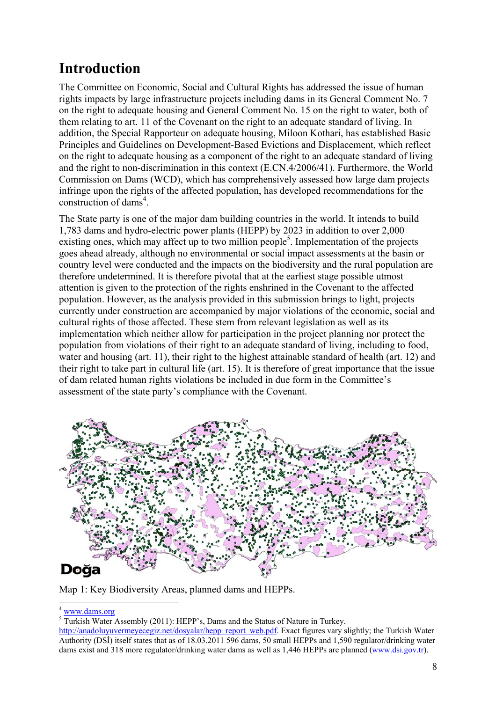# **Introduction**

The Committee on Economic, Social and Cultural Rights has addressed the issue of human rights impacts by large infrastructure projects including dams in its General Comment No. 7 on the right to adequate housing and General Comment No. 15 on the right to water, both of them relating to art. 11 of the Covenant on the right to an adequate standard of living. In addition, the Special Rapporteur on adequate housing, Miloon Kothari, has established Basic Principles and Guidelines on Development-Based Evictions and Displacement, which reflect on the right to adequate housing as a component of the right to an adequate standard of living and the right to non-discrimination in this context (E.CN.4/2006/41). Furthermore, the World Commission on Dams (WCD), which has comprehensively assessed how large dam projects infringe upon the rights of the affected population, has developed recommendations for the construction of dams<sup>4</sup>.

The State party is one of the major dam building countries in the world. It intends to build 1,783 dams and hydro-electric power plants (HEPP) by 2023 in addition to over 2,000 existing ones, which may affect up to two million people<sup>5</sup>. Implementation of the projects goes ahead already, although no environmental or social impact assessments at the basin or country level were conducted and the impacts on the biodiversity and the rural population are therefore undetermined. It is therefore pivotal that at the earliest stage possible utmost attention is given to the protection of the rights enshrined in the Covenant to the affected population. However, as the analysis provided in this submission brings to light, projects currently under construction are accompanied by major violations of the economic, social and cultural rights of those affected. These stem from relevant legislation as well as its implementation which neither allow for participation in the project planning nor protect the population from violations of their right to an adequate standard of living, including to food, water and housing (art. 11), their right to the highest attainable standard of health (art. 12) and their right to take part in cultural life (art. 15). It is therefore of great importance that the issue of dam related human rights violations be included in due form in the Committee's assessment of the state party's compliance with the Covenant.



Map 1: Key Biodiversity Areas, planned dams and HEPPs.

1  $4$  www.dams.org

<sup>&</sup>lt;sup>5</sup> Turkish Water Assembly (2011): HEPP's, Dams and the Status of Nature in Turkey.

http://anadoluyuvermeyecegiz.net/dosyalar/hepp\_report\_web.pdf. Exact figures vary slightly; the Turkish Water Authority (DSİ) itself states that as of 18.03.2011 596 dams, 50 small HEPPs and 1,590 regulator/drinking water dams exist and 318 more regulator/drinking water dams as well as 1,446 HEPPs are planned (www.dsi.gov.tr).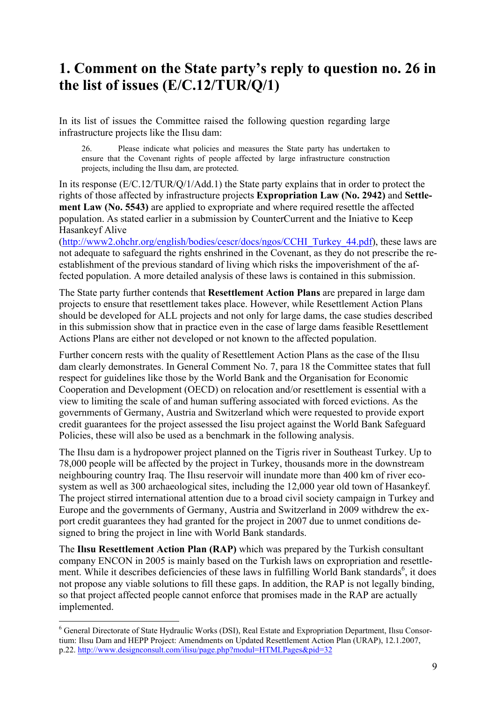### **1. Comment on the State party's reply to question no. 26 in the list of issues (E/C.12/TUR/Q/1)**

In its list of issues the Committee raised the following question regarding large infrastructure projects like the Ilısu dam:

 26. Please indicate what policies and measures the State party has undertaken to ensure that the Covenant rights of people affected by large infrastructure construction projects, including the Ilısu dam, are protected.

In its response (E/C.12/TUR/Q/1/Add.1) the State party explains that in order to protect the rights of those affected by infrastructure projects **Expropriation Law (No. 2942)** and **Settlement Law (No. 5543)** are applied to expropriate and where required resettle the affected population. As stated earlier in a submission by CounterCurrent and the Iniative to Keep Hasankeyf Alive

(http://www2.ohchr.org/english/bodies/cescr/docs/ngos/CCHI\_Turkey\_44.pdf), these laws are not adequate to safeguard the rights enshrined in the Covenant, as they do not prescribe the reestablishment of the previous standard of living which risks the impoverishment of the affected population. A more detailed analysis of these laws is contained in this submission.

The State party further contends that **Resettlement Action Plans** are prepared in large dam projects to ensure that resettlement takes place. However, while Resettlement Action Plans should be developed for ALL projects and not only for large dams, the case studies described in this submission show that in practice even in the case of large dams feasible Resettlement Actions Plans are either not developed or not known to the affected population.

Further concern rests with the quality of Resettlement Action Plans as the case of the Ilısu dam clearly demonstrates. In General Comment No. 7, para 18 the Committee states that full respect for guidelines like those by the World Bank and the Organisation for Economic Cooperation and Development (OECD) on relocation and/or resettlement is essential with a view to limiting the scale of and human suffering associated with forced evictions. As the governments of Germany, Austria and Switzerland which were requested to provide export credit guarantees for the project assessed the Iisu project against the World Bank Safeguard Policies, these will also be used as a benchmark in the following analysis.

The Ilısu dam is a hydropower project planned on the Tigris river in Southeast Turkey. Up to 78,000 people will be affected by the project in Turkey, thousands more in the downstream neighbouring country Iraq. The Ilısu reservoir will inundate more than 400 km of river ecosystem as well as 300 archaeological sites, including the 12,000 year old town of Hasankeyf. The project stirred international attention due to a broad civil society campaign in Turkey and Europe and the governments of Germany, Austria and Switzerland in 2009 withdrew the export credit guarantees they had granted for the project in 2007 due to unmet conditions designed to bring the project in line with World Bank standards.

The **Ilısu Resettlement Action Plan (RAP)** which was prepared by the Turkish consultant company ENCON in 2005 is mainly based on the Turkish laws on expropriation and resettlement. While it describes deficiencies of these laws in fulfilling World Bank standards<sup>6</sup>, it does not propose any viable solutions to fill these gaps. In addition, the RAP is not legally binding, so that project affected people cannot enforce that promises made in the RAP are actually implemented.

<sup>6</sup> General Directorate of State Hydraulic Works (DSI), Real Estate and Expropriation Department, Ilısu Consortium: Ilısu Dam and HEPP Project: Amendments on Updated Resettlement Action Plan (URAP), 12.1.2007, p.22. http://www.designconsult.com/ilisu/page.php?modul=HTMLPages&pid=32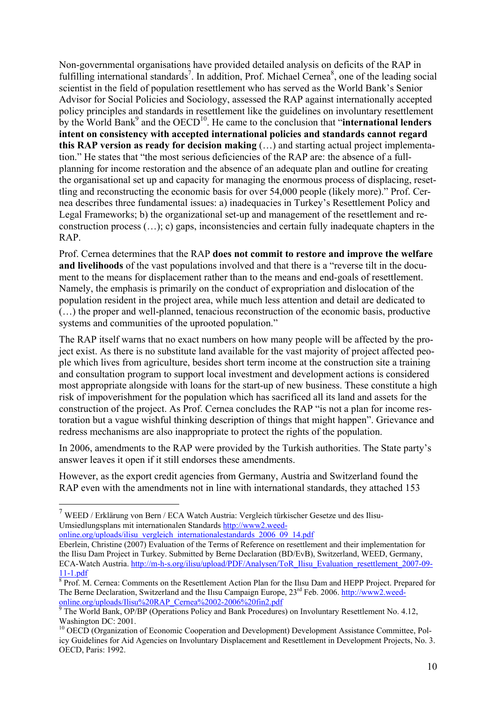Non-governmental organisations have provided detailed analysis on deficits of the RAP in fulfilling international standards<sup>7</sup>. In addition, Prof. Michael Cernea<sup>8</sup>, one of the leading social scientist in the field of population resettlement who has served as the World Bank's Senior Advisor for Social Policies and Sociology, assessed the RAP against internationally accepted policy principles and standards in resettlement like the guidelines on involuntary resettlement by the World Bank<sup>9</sup> and the OECD<sup>10</sup>. He came to the conclusion that "**international lenders intent on consistency with accepted international policies and standards cannot regard this RAP version as ready for decision making** (…) and starting actual project implementation." He states that "the most serious deficiencies of the RAP are: the absence of a fullplanning for income restoration and the absence of an adequate plan and outline for creating the organisational set up and capacity for managing the enormous process of displacing, resettling and reconstructing the economic basis for over 54,000 people (likely more)." Prof. Cernea describes three fundamental issues: a) inadequacies in Turkey's Resettlement Policy and Legal Frameworks; b) the organizational set-up and management of the resettlement and reconstruction process (…); c) gaps, inconsistencies and certain fully inadequate chapters in the RAP.

Prof. Cernea determines that the RAP **does not commit to restore and improve the welfare and livelihoods** of the vast populations involved and that there is a "reverse tilt in the document to the means for displacement rather than to the means and end-goals of resettlement. Namely, the emphasis is primarily on the conduct of expropriation and dislocation of the population resident in the project area, while much less attention and detail are dedicated to (…) the proper and well-planned, tenacious reconstruction of the economic basis, productive systems and communities of the uprooted population."

The RAP itself warns that no exact numbers on how many people will be affected by the project exist. As there is no substitute land available for the vast majority of project affected people which lives from agriculture, besides short term income at the construction site a training and consultation program to support local investment and development actions is considered most appropriate alongside with loans for the start-up of new business. These constitute a high risk of impoverishment for the population which has sacrificed all its land and assets for the construction of the project. As Prof. Cernea concludes the RAP "is not a plan for income restoration but a vague wishful thinking description of things that might happen". Grievance and redress mechanisms are also inappropriate to protect the rights of the population.

In 2006, amendments to the RAP were provided by the Turkish authorities. The State party's answer leaves it open if it still endorses these amendments.

However, as the export credit agencies from Germany, Austria and Switzerland found the RAP even with the amendments not in line with international standards, they attached 153

 $\overline{a}$ 

 $7$  WEED / Erklärung von Bern / ECA Watch Austria: Vergleich türkischer Gesetze und des Ilisu-Umsiedlungsplans mit internationalen Standards http://www2.weedonline.org/uploads/ilisu\_vergleich\_internationalestandards\_2006\_09\_14.pdf

Eberlein, Christine (2007) Evaluation of the Terms of Reference on resettlement and their implementation for the Ilisu Dam Project in Turkey. Submitted by Berne Declaration (BD/EvB), Switzerland, WEED, Germany, ECA-Watch Austria. http://m-h-s.org/ilisu/upload/PDF/Analysen/ToR\_Ilisu\_Evaluation\_resettlement\_2007-09-  $11-1.pdf$ 

<sup>&</sup>lt;sup>8</sup> Prof. M. Cernea: Comments on the Resettlement Action Plan for the Ilısu Dam and HEPP Project. Prepared for The Berne Declaration, Switzerland and the Ilısu Campaign Europe, 23<sup>rd</sup> Feb. 2006. http://www2.weedonline.org/uploads/Ilisu%20RAP\_Cernea%2002-2006%20fin2.pdf

<sup>&</sup>lt;sup>9</sup> The World Bank, OP/BP (Operations Policy and Bank Procedures) on Involuntary Resettlement No. 4.12, Washington DC: 2001.

<sup>&</sup>lt;sup>10</sup> OECD (Organization of Economic Cooperation and Development) Development Assistance Committee, Policy Guidelines for Aid Agencies on Involuntary Displacement and Resettlement in Development Projects, No. 3. OECD, Paris: 1992.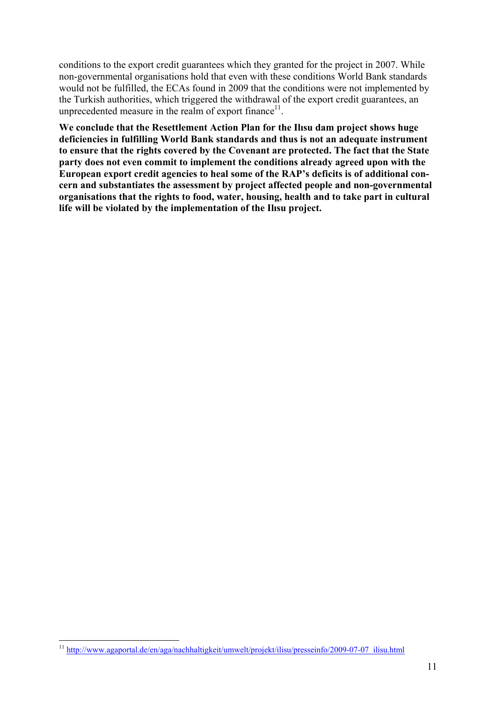conditions to the export credit guarantees which they granted for the project in 2007. While non-governmental organisations hold that even with these conditions World Bank standards would not be fulfilled, the ECAs found in 2009 that the conditions were not implemented by the Turkish authorities, which triggered the withdrawal of the export credit guarantees, an unprecedented measure in the realm of export finance $11$ .

**We conclude that the Resettlement Action Plan for the Ilısu dam project shows huge deficiencies in fulfilling World Bank standards and thus is not an adequate instrument to ensure that the rights covered by the Covenant are protected. The fact that the State party does not even commit to implement the conditions already agreed upon with the European export credit agencies to heal some of the RAP's deficits is of additional concern and substantiates the assessment by project affected people and non-governmental organisations that the rights to food, water, housing, health and to take part in cultural life will be violated by the implementation of the Ilısu project.** 

<sup>11</sup> http://www.agaportal.de/en/aga/nachhaltigkeit/umwelt/projekt/ilisu/presseinfo/2009-07-07\_ilisu.html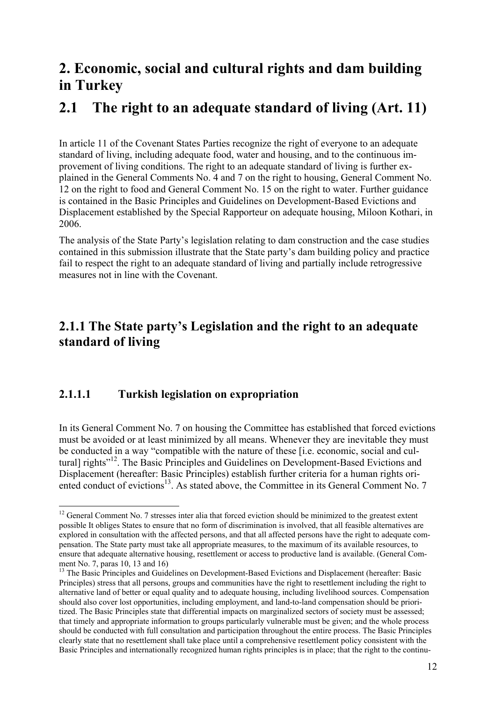### **2. Economic, social and cultural rights and dam building in Turkey**

### **2.1 The right to an adequate standard of living (Art. 11)**

In article 11 of the Covenant States Parties recognize the right of everyone to an adequate standard of living, including adequate food, water and housing, and to the continuous improvement of living conditions. The right to an adequate standard of living is further explained in the General Comments No. 4 and 7 on the right to housing, General Comment No. 12 on the right to food and General Comment No. 15 on the right to water. Further guidance is contained in the Basic Principles and Guidelines on Development-Based Evictions and Displacement established by the Special Rapporteur on adequate housing, Miloon Kothari, in 2006.

The analysis of the State Party's legislation relating to dam construction and the case studies contained in this submission illustrate that the State party's dam building policy and practice fail to respect the right to an adequate standard of living and partially include retrogressive measures not in line with the Covenant.

### **2.1.1 The State party's Legislation and the right to an adequate standard of living**

#### **2.1.1.1 Turkish legislation on expropriation**

1

In its General Comment No. 7 on housing the Committee has established that forced evictions must be avoided or at least minimized by all means. Whenever they are inevitable they must be conducted in a way "compatible with the nature of these [i.e. economic, social and cultural] rights<sup>"12</sup>. The Basic Principles and Guidelines on Development-Based Evictions and Displacement (hereafter: Basic Principles) establish further criteria for a human rights oriented conduct of evictions<sup>13</sup>. As stated above, the Committee in its General Comment No. 7

 $12$  General Comment No. 7 stresses inter alia that forced eviction should be minimized to the greatest extent possible It obliges States to ensure that no form of discrimination is involved, that all feasible alternatives are explored in consultation with the affected persons, and that all affected persons have the right to adequate compensation. The State party must take all appropriate measures, to the maximum of its available resources, to ensure that adequate alternative housing, resettlement or access to productive land is available. (General Comment No. 7, paras 10, 13 and 16)

<sup>&</sup>lt;sup>13</sup> The Basic Principles and Guidelines on Development-Based Evictions and Displacement (hereafter: Basic Principles) stress that all persons, groups and communities have the right to resettlement including the right to alternative land of better or equal quality and to adequate housing, including livelihood sources. Compensation should also cover lost opportunities, including employment, and land-to-land compensation should be prioritized. The Basic Principles state that differential impacts on marginalized sectors of society must be assessed; that timely and appropriate information to groups particularly vulnerable must be given; and the whole process should be conducted with full consultation and participation throughout the entire process. The Basic Principles clearly state that no resettlement shall take place until a comprehensive resettlement policy consistent with the Basic Principles and internationally recognized human rights principles is in place; that the right to the continu-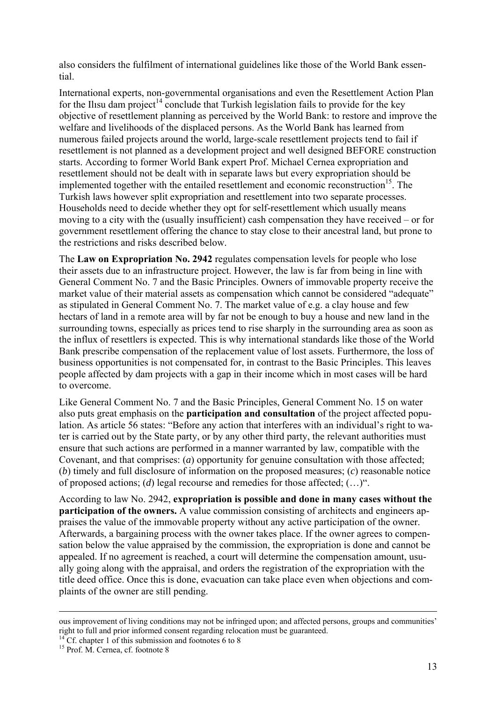also considers the fulfilment of international guidelines like those of the World Bank essential.

International experts, non-governmental organisations and even the Resettlement Action Plan for the Ilisu dam project<sup>14</sup> conclude that Turkish legislation fails to provide for the key objective of resettlement planning as perceived by the World Bank: to restore and improve the welfare and livelihoods of the displaced persons. As the World Bank has learned from numerous failed projects around the world, large-scale resettlement projects tend to fail if resettlement is not planned as a development project and well designed BEFORE construction starts. According to former World Bank expert Prof. Michael Cernea expropriation and resettlement should not be dealt with in separate laws but every expropriation should be implemented together with the entailed resettlement and economic reconstruction<sup>15</sup>. The Turkish laws however split expropriation and resettlement into two separate processes. Households need to decide whether they opt for self-resettlement which usually means moving to a city with the (usually insufficient) cash compensation they have received – or for government resettlement offering the chance to stay close to their ancestral land, but prone to the restrictions and risks described below.

The **Law on Expropriation No. 2942** regulates compensation levels for people who lose their assets due to an infrastructure project. However, the law is far from being in line with General Comment No. 7 and the Basic Principles. Owners of immovable property receive the market value of their material assets as compensation which cannot be considered "adequate" as stipulated in General Comment No. 7. The market value of e.g. a clay house and few hectars of land in a remote area will by far not be enough to buy a house and new land in the surrounding towns, especially as prices tend to rise sharply in the surrounding area as soon as the influx of resettlers is expected. This is why international standards like those of the World Bank prescribe compensation of the replacement value of lost assets. Furthermore, the loss of business opportunities is not compensated for, in contrast to the Basic Principles. This leaves people affected by dam projects with a gap in their income which in most cases will be hard to overcome.

Like General Comment No. 7 and the Basic Principles, General Comment No. 15 on water also puts great emphasis on the **participation and consultation** of the project affected population. As article 56 states: "Before any action that interferes with an individual's right to water is carried out by the State party, or by any other third party, the relevant authorities must ensure that such actions are performed in a manner warranted by law, compatible with the Covenant, and that comprises: (*a*) opportunity for genuine consultation with those affected; (*b*) timely and full disclosure of information on the proposed measures; (*c*) reasonable notice of proposed actions; (*d*) legal recourse and remedies for those affected; (…)".

According to law No. 2942, **expropriation is possible and done in many cases without the participation of the owners.** A value commission consisting of architects and engineers appraises the value of the immovable property without any active participation of the owner. Afterwards, a bargaining process with the owner takes place. If the owner agrees to compensation below the value appraised by the commission, the expropriation is done and cannot be appealed. If no agreement is reached, a court will determine the compensation amount, usually going along with the appraisal, and orders the registration of the expropriation with the title deed office. Once this is done, evacuation can take place even when objections and complaints of the owner are still pending.

ous improvement of living conditions may not be infringed upon; and affected persons, groups and communities' right to full and prior informed consent regarding relocation must be guaranteed.

 $^{14}$  Cf. chapter 1 of this submission and footnotes 6 to 8

<sup>&</sup>lt;sup>15</sup> Prof. M. Cernea, cf. footnote 8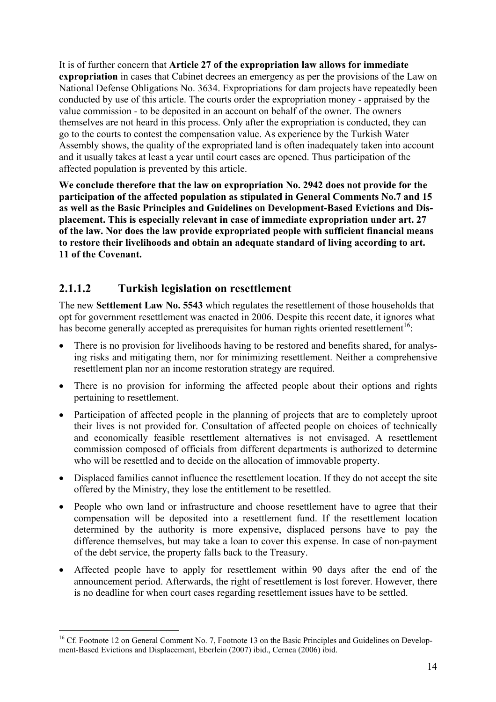It is of further concern that **Article 27 of the expropriation law allows for immediate expropriation** in cases that Cabinet decrees an emergency as per the provisions of the Law on National Defense Obligations No. 3634. Expropriations for dam projects have repeatedly been conducted by use of this article. The courts order the expropriation money - appraised by the value commission - to be deposited in an account on behalf of the owner. The owners themselves are not heard in this process. Only after the expropriation is conducted, they can go to the courts to contest the compensation value. As experience by the Turkish Water Assembly shows, the quality of the expropriated land is often inadequately taken into account and it usually takes at least a year until court cases are opened. Thus participation of the affected population is prevented by this article.

**We conclude therefore that the law on expropriation No. 2942 does not provide for the participation of the affected population as stipulated in General Comments No.7 and 15 as well as the Basic Principles and Guidelines on Development-Based Evictions and Displacement. This is especially relevant in case of immediate expropriation under art. 27 of the law. Nor does the law provide expropriated people with sufficient financial means to restore their livelihoods and obtain an adequate standard of living according to art. 11 of the Covenant.** 

#### **2.1.1.2 Turkish legislation on resettlement**

1

The new **Settlement Law No. 5543** which regulates the resettlement of those households that opt for government resettlement was enacted in 2006. Despite this recent date, it ignores what has become generally accepted as prerequisites for human rights oriented resettlement<sup>16</sup>:

- There is no provision for livelihoods having to be restored and benefits shared, for analysing risks and mitigating them, nor for minimizing resettlement. Neither a comprehensive resettlement plan nor an income restoration strategy are required.
- There is no provision for informing the affected people about their options and rights pertaining to resettlement.
- Participation of affected people in the planning of projects that are to completely uproot their lives is not provided for. Consultation of affected people on choices of technically and economically feasible resettlement alternatives is not envisaged. A resettlement commission composed of officials from different departments is authorized to determine who will be resettled and to decide on the allocation of immovable property.
- Displaced families cannot influence the resettlement location. If they do not accept the site offered by the Ministry, they lose the entitlement to be resettled.
- People who own land or infrastructure and choose resettlement have to agree that their compensation will be deposited into a resettlement fund. If the resettlement location determined by the authority is more expensive, displaced persons have to pay the difference themselves, but may take a loan to cover this expense. In case of non-payment of the debt service, the property falls back to the Treasury.
- Affected people have to apply for resettlement within 90 days after the end of the announcement period. Afterwards, the right of resettlement is lost forever. However, there is no deadline for when court cases regarding resettlement issues have to be settled.

<sup>&</sup>lt;sup>16</sup> Cf. Footnote 12 on General Comment No. 7, Footnote 13 on the Basic Principles and Guidelines on Development-Based Evictions and Displacement, Eberlein (2007) ibid., Cernea (2006) ibid.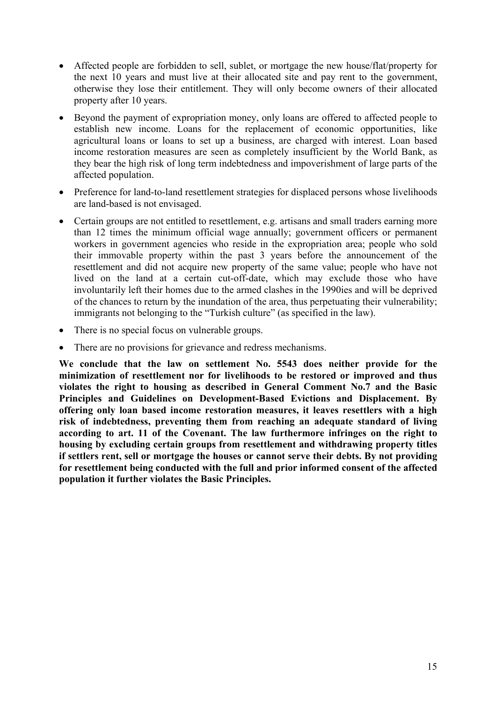- Affected people are forbidden to sell, sublet, or mortgage the new house/flat/property for the next 10 years and must live at their allocated site and pay rent to the government, otherwise they lose their entitlement. They will only become owners of their allocated property after 10 years.
- Beyond the payment of expropriation money, only loans are offered to affected people to establish new income. Loans for the replacement of economic opportunities, like agricultural loans or loans to set up a business, are charged with interest. Loan based income restoration measures are seen as completely insufficient by the World Bank, as they bear the high risk of long term indebtedness and impoverishment of large parts of the affected population.
- Preference for land-to-land resettlement strategies for displaced persons whose livelihoods are land-based is not envisaged.
- Certain groups are not entitled to resettlement, e.g. artisans and small traders earning more than 12 times the minimum official wage annually; government officers or permanent workers in government agencies who reside in the expropriation area; people who sold their immovable property within the past 3 years before the announcement of the resettlement and did not acquire new property of the same value; people who have not lived on the land at a certain cut-off-date, which may exclude those who have involuntarily left their homes due to the armed clashes in the 1990ies and will be deprived of the chances to return by the inundation of the area, thus perpetuating their vulnerability; immigrants not belonging to the "Turkish culture" (as specified in the law).
- There is no special focus on vulnerable groups.
- There are no provisions for grievance and redress mechanisms.

**We conclude that the law on settlement No. 5543 does neither provide for the minimization of resettlement nor for livelihoods to be restored or improved and thus violates the right to housing as described in General Comment No.7 and the Basic Principles and Guidelines on Development-Based Evictions and Displacement. By offering only loan based income restoration measures, it leaves resettlers with a high risk of indebtedness, preventing them from reaching an adequate standard of living according to art. 11 of the Covenant. The law furthermore infringes on the right to housing by excluding certain groups from resettlement and withdrawing property titles if settlers rent, sell or mortgage the houses or cannot serve their debts. By not providing for resettlement being conducted with the full and prior informed consent of the affected population it further violates the Basic Principles.**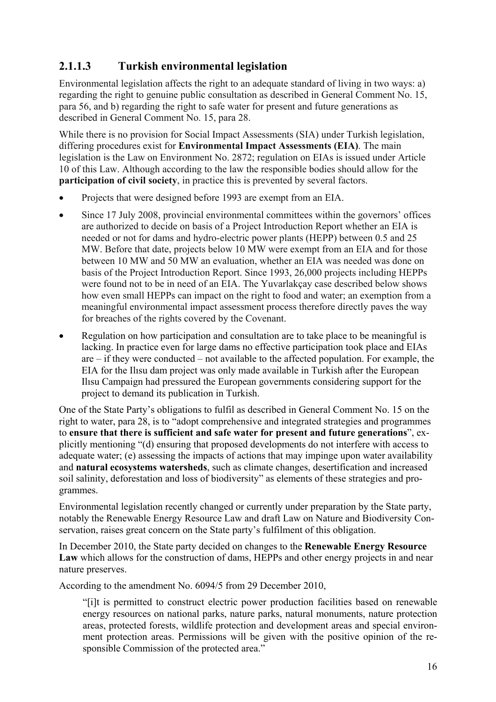### **2.1.1.3 Turkish environmental legislation**

Environmental legislation affects the right to an adequate standard of living in two ways: a) regarding the right to genuine public consultation as described in General Comment No. 15, para 56, and b) regarding the right to safe water for present and future generations as described in General Comment No. 15, para 28.

While there is no provision for Social Impact Assessments (SIA) under Turkish legislation, differing procedures exist for **Environmental Impact Assessments (EIA)**. The main legislation is the Law on Environment No. 2872; regulation on EIAs is issued under Article 10 of this Law. Although according to the law the responsible bodies should allow for the **participation of civil society**, in practice this is prevented by several factors.

- Projects that were designed before 1993 are exempt from an EIA.
- Since 17 July 2008, provincial environmental committees within the governors' offices are authorized to decide on basis of a Project Introduction Report whether an EIA is needed or not for dams and hydro-electric power plants (HEPP) between 0.5 and 25 MW. Before that date, projects below 10 MW were exempt from an EIA and for those between 10 MW and 50 MW an evaluation, whether an EIA was needed was done on basis of the Project Introduction Report. Since 1993, 26,000 projects including HEPPs were found not to be in need of an EIA. The Yuvarlakçay case described below shows how even small HEPPs can impact on the right to food and water; an exemption from a meaningful environmental impact assessment process therefore directly paves the way for breaches of the rights covered by the Covenant.
- Regulation on how participation and consultation are to take place to be meaningful is lacking. In practice even for large dams no effective participation took place and EIAs are – if they were conducted – not available to the affected population. For example, the EIA for the Ilısu dam project was only made available in Turkish after the European Ilısu Campaign had pressured the European governments considering support for the project to demand its publication in Turkish.

One of the State Party's obligations to fulfil as described in General Comment No. 15 on the right to water, para 28, is to "adopt comprehensive and integrated strategies and programmes to **ensure that there is sufficient and safe water for present and future generations**", explicitly mentioning "(d) ensuring that proposed developments do not interfere with access to adequate water; (e) assessing the impacts of actions that may impinge upon water availability and **natural ecosystems watersheds**, such as climate changes, desertification and increased soil salinity, deforestation and loss of biodiversity" as elements of these strategies and programmes.

Environmental legislation recently changed or currently under preparation by the State party, notably the Renewable Energy Resource Law and draft Law on Nature and Biodiversity Conservation, raises great concern on the State party's fulfilment of this obligation.

In December 2010, the State party decided on changes to the **Renewable Energy Resource**  Law which allows for the construction of dams, HEPPs and other energy projects in and near nature preserves.

According to the amendment No. 6094/5 from 29 December 2010,

"[i]t is permitted to construct electric power production facilities based on renewable energy resources on national parks, nature parks, natural monuments, nature protection areas, protected forests, wildlife protection and development areas and special environment protection areas. Permissions will be given with the positive opinion of the responsible Commission of the protected area."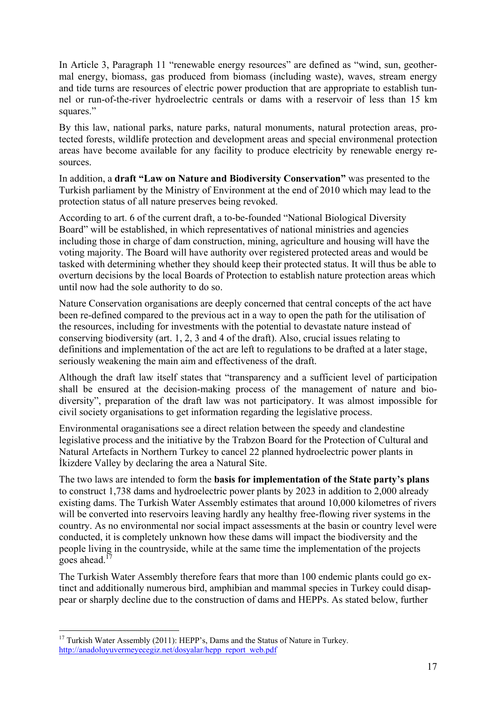In Article 3, Paragraph 11 "renewable energy resources" are defined as "wind, sun, geothermal energy, biomass, gas produced from biomass (including waste), waves, stream energy and tide turns are resources of electric power production that are appropriate to establish tunnel or run-of-the-river hydroelectric centrals or dams with a reservoir of less than 15 km squares."

By this law, national parks, nature parks, natural monuments, natural protection areas, protected forests, wildlife protection and development areas and special environmenal protection areas have become available for any facility to produce electricity by renewable energy resources.

In addition, a **draft "Law on Nature and Biodiversity Conservation"** was presented to the Turkish parliament by the Ministry of Environment at the end of 2010 which may lead to the protection status of all nature preserves being revoked.

According to art. 6 of the current draft, a to-be-founded "National Biological Diversity Board" will be established, in which representatives of national ministries and agencies including those in charge of dam construction, mining, agriculture and housing will have the voting majority. The Board will have authority over registered protected areas and would be tasked with determining whether they should keep their protected status. It will thus be able to overturn decisions by the local Boards of Protection to establish nature protection areas which until now had the sole authority to do so.

Nature Conservation organisations are deeply concerned that central concepts of the act have been re-defined compared to the previous act in a way to open the path for the utilisation of the resources, including for investments with the potential to devastate nature instead of conserving biodiversity (art. 1, 2, 3 and 4 of the draft). Also, crucial issues relating to definitions and implementation of the act are left to regulations to be drafted at a later stage, seriously weakening the main aim and effectiveness of the draft.

Although the draft law itself states that "transparency and a sufficient level of participation shall be ensured at the decision-making process of the management of nature and biodiversity", preparation of the draft law was not participatory. It was almost impossible for civil society organisations to get information regarding the legislative process.

Environmental oraganisations see a direct relation between the speedy and clandestine legislative process and the initiative by the Trabzon Board for the Protection of Cultural and Natural Artefacts in Northern Turkey to cancel 22 planned hydroelectric power plants in İkizdere Valley by declaring the area a Natural Site.

The two laws are intended to form the **basis for implementation of the State party's plans** to construct 1,738 dams and hydroelectric power plants by 2023 in addition to 2,000 already existing dams. The Turkish Water Assembly estimates that around 10,000 kilometres of rivers will be converted into reservoirs leaving hardly any healthy free-flowing river systems in the country. As no environmental nor social impact assessments at the basin or country level were conducted, it is completely unknown how these dams will impact the biodiversity and the people living in the countryside, while at the same time the implementation of the projects goes ahead. $17$ 

The Turkish Water Assembly therefore fears that more than 100 endemic plants could go extinct and additionally numerous bird, amphibian and mammal species in Turkey could disappear or sharply decline due to the construction of dams and HEPPs. As stated below, further

<sup>&</sup>lt;sup>17</sup> Turkish Water Assembly (2011): HEPP's, Dams and the Status of Nature in Turkey. http://anadoluyuvermeyecegiz.net/dosyalar/hepp\_report\_web.pdf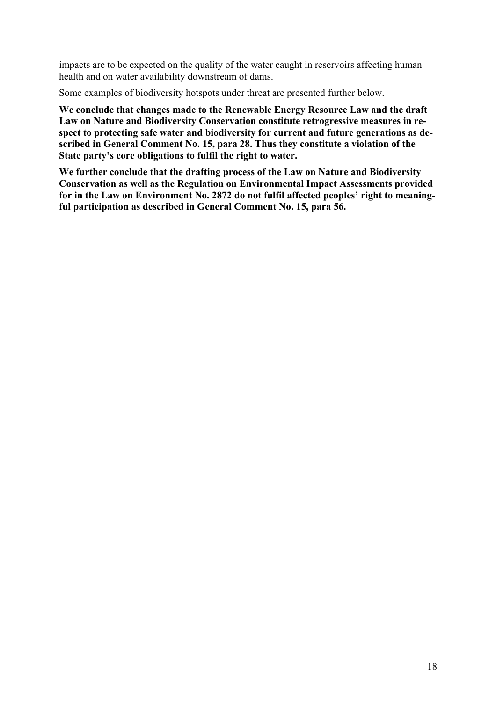impacts are to be expected on the quality of the water caught in reservoirs affecting human health and on water availability downstream of dams.

Some examples of biodiversity hotspots under threat are presented further below.

**We conclude that changes made to the Renewable Energy Resource Law and the draft Law on Nature and Biodiversity Conservation constitute retrogressive measures in respect to protecting safe water and biodiversity for current and future generations as described in General Comment No. 15, para 28. Thus they constitute a violation of the State party's core obligations to fulfil the right to water.** 

**We further conclude that the drafting process of the Law on Nature and Biodiversity Conservation as well as the Regulation on Environmental Impact Assessments provided for in the Law on Environment No. 2872 do not fulfil affected peoples' right to meaningful participation as described in General Comment No. 15, para 56.**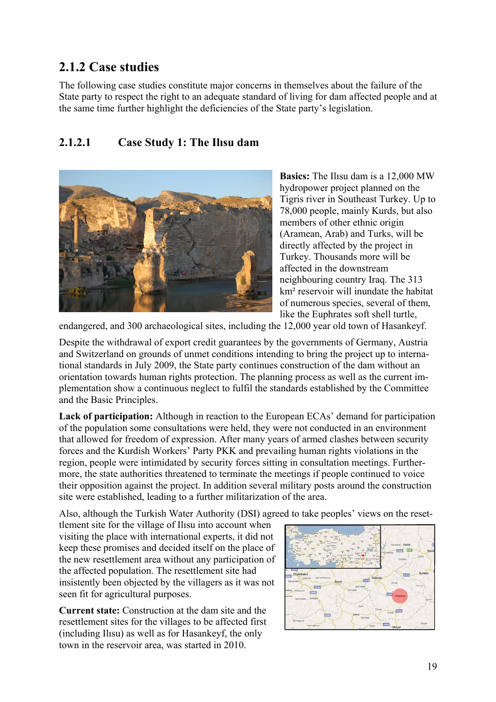### **2.1.2 Case studies**

The following case studies constitute major concerns in themselves about the failure of the State party to respect the right to an adequate standard of living for dam affected people and at the same time further highlight the deficiencies of the State party's legislation.

### **2.1.2.1 Case Study 1: The Ilısu dam**



**Basics:** The Ilısu dam is a 12,000 MW hydropower project planned on the Tigris river in Southeast Turkey. Up to 78,000 people, mainly Kurds, but also members of other ethnic origin (Aramean, Arab) and Turks, will be directly affected by the project in Turkey. Thousands more will be affected in the downstream neighbouring country Iraq. The 313 km² reservoir will inundate the habitat of numerous species, several of them, like the Euphrates soft shell turtle,

endangered, and 300 archaeological sites, including the 12,000 year old town of Hasankeyf.

Despite the withdrawal of export credit guarantees by the governments of Germany, Austria and Switzerland on grounds of unmet conditions intending to bring the project up to international standards in July 2009, the State party continues construction of the dam without an orientation towards human rights protection. The planning process as well as the current implementation show a continuous neglect to fulfil the standards established by the Committee and the Basic Principles.

**Lack of participation:** Although in reaction to the European ECAs' demand for participation of the population some consultations were held, they were not conducted in an environment that allowed for freedom of expression. After many years of armed clashes between security forces and the Kurdish Workers' Party PKK and prevailing human rights violations in the region, people were intimidated by security forces sitting in consultation meetings. Furthermore, the state authorities threatened to terminate the meetings if people continued to voice their opposition against the project. In addition several military posts around the construction site were established, leading to a further militarization of the area.

Also, although the Turkish Water Authority (DSI) agreed to take peoples' views on the reset-

tlement site for the village of Ilısu into account when visiting the place with international experts, it did not keep these promises and decided itself on the place of the new resettlement area without any participation of the affected population. The resettlement site had insistently been objected by the villagers as it was not seen fit for agricultural purposes.

**Current state:** Construction at the dam site and the resettlement sites for the villages to be affected first (including Ilısu) as well as for Hasankeyf, the only town in the reservoir area, was started in 2010.

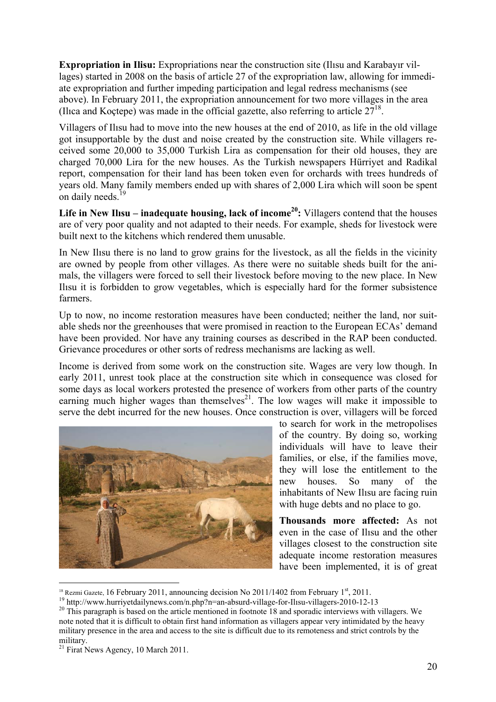**Expropriation in Ilisu:** Expropriations near the construction site (Ilısu and Karabayır villages) started in 2008 on the basis of article 27 of the expropriation law, allowing for immediate expropriation and further impeding participation and legal redress mechanisms (see above). In February 2011, the expropriation announcement for two more villages in the area (Ilica and Koctepe) was made in the official gazette, also referring to article  $27^{18}$ .

Villagers of Ilısu had to move into the new houses at the end of 2010, as life in the old village got insupportable by the dust and noise created by the construction site. While villagers received some 20,000 to 35,000 Turkish Lira as compensation for their old houses, they are charged 70,000 Lira for the new houses. As the Turkish newspapers Hürriyet and Radikal report, compensation for their land has been token even for orchards with trees hundreds of years old. Many family members ended up with shares of 2,000 Lira which will soon be spent on daily needs.<sup>19</sup>

Life in New Ilisu – inadequate housing, lack of income<sup>20</sup>: Villagers contend that the houses are of very poor quality and not adapted to their needs. For example, sheds for livestock were built next to the kitchens which rendered them unusable.

In New Ilısu there is no land to grow grains for the livestock, as all the fields in the vicinity are owned by people from other villages. As there were no suitable sheds built for the animals, the villagers were forced to sell their livestock before moving to the new place. In New Ilısu it is forbidden to grow vegetables, which is especially hard for the former subsistence farmers.

Up to now, no income restoration measures have been conducted; neither the land, nor suitable sheds nor the greenhouses that were promised in reaction to the European ECAs' demand have been provided. Nor have any training courses as described in the RAP been conducted. Grievance procedures or other sorts of redress mechanisms are lacking as well.

Income is derived from some work on the construction site. Wages are very low though. In early 2011, unrest took place at the construction site which in consequence was closed for some days as local workers protested the presence of workers from other parts of the country earning much higher wages than themselves<sup>21</sup>. The low wages will make it impossible to serve the debt incurred for the new houses. Once construction is over, villagers will be forced



to search for work in the metropolises of the country. By doing so, working individuals will have to leave their families, or else, if the families move, they will lose the entitlement to the new houses. So many of the inhabitants of New Ilısu are facing ruin with huge debts and no place to go.

**Thousands more affected:** As not even in the case of Ilısu and the other villages closest to the construction site adequate income restoration measures have been implemented, it is of great

<sup>&</sup>lt;sup>18</sup> Rezmi Gazete, 16 February 2011, announcing decision No 2011/1402 from February 1<sup>st</sup>, 2011.<br><sup>19</sup> http://www.hurriyetdailynews.com/n.php?n=an-absurd-village-for-Ilisu-villagers-2010-12-13<br><sup>20</sup> This paragraph is based note noted that it is difficult to obtain first hand information as villagers appear very intimidated by the heavy military presence in the area and access to the site is difficult due to its remoteness and strict controls by the military.

<sup>&</sup>lt;sup>21</sup> Firat News Agency, 10 March 2011.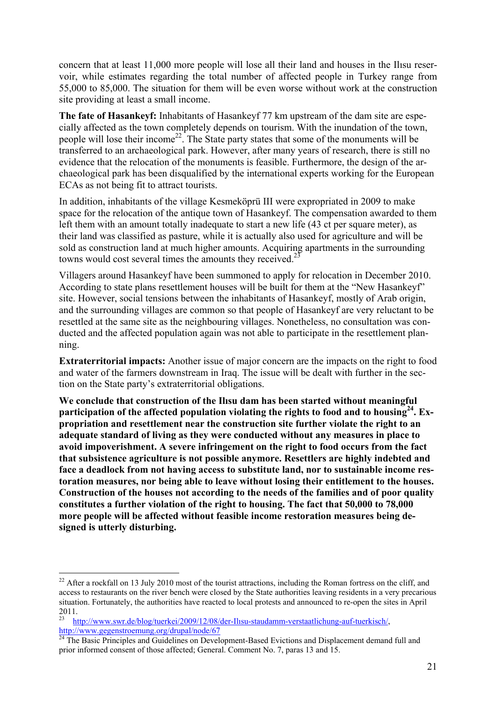concern that at least 11,000 more people will lose all their land and houses in the Ilısu reservoir, while estimates regarding the total number of affected people in Turkey range from 55,000 to 85,000. The situation for them will be even worse without work at the construction site providing at least a small income.

**The fate of Hasankeyf:** Inhabitants of Hasankeyf 77 km upstream of the dam site are especially affected as the town completely depends on tourism. With the inundation of the town, people will lose their income<sup>22</sup>. The State party states that some of the monuments will be transferred to an archaeological park. However, after many years of research, there is still no evidence that the relocation of the monuments is feasible. Furthermore, the design of the archaeological park has been disqualified by the international experts working for the European ECAs as not being fit to attract tourists.

In addition, inhabitants of the village Kesmeköprü III were expropriated in 2009 to make space for the relocation of the antique town of Hasankeyf. The compensation awarded to them left them with an amount totally inadequate to start a new life (43 ct per square meter), as their land was classified as pasture, while it is actually also used for agriculture and will be sold as construction land at much higher amounts. Acquiring apartments in the surrounding towns would cost several times the amounts they received.<sup>23</sup>

Villagers around Hasankeyf have been summoned to apply for relocation in December 2010. According to state plans resettlement houses will be built for them at the "New Hasankeyf" site. However, social tensions between the inhabitants of Hasankeyf, mostly of Arab origin, and the surrounding villages are common so that people of Hasankeyf are very reluctant to be resettled at the same site as the neighbouring villages. Nonetheless, no consultation was conducted and the affected population again was not able to participate in the resettlement planning.

**Extraterritorial impacts:** Another issue of major concern are the impacts on the right to food and water of the farmers downstream in Iraq. The issue will be dealt with further in the section on the State party's extraterritorial obligations.

**We conclude that construction of the Ilısu dam has been started without meaningful participation of the affected population violating the rights to food and to housing24. Expropriation and resettlement near the construction site further violate the right to an adequate standard of living as they were conducted without any measures in place to avoid impoverishment. A severe infringement on the right to food occurs from the fact that subsistence agriculture is not possible anymore. Resettlers are highly indebted and face a deadlock from not having access to substitute land, nor to sustainable income restoration measures, nor being able to leave without losing their entitlement to the houses. Construction of the houses not according to the needs of the families and of poor quality constitutes a further violation of the right to housing. The fact that 50,000 to 78,000 more people will be affected without feasible income restoration measures being designed is utterly disturbing.** 

 $22$  After a rockfall on 13 July 2010 most of the tourist attractions, including the Roman fortress on the cliff, and access to restaurants on the river bench were closed by the State authorities leaving residents in a very precarious situation. Fortunately, the authorities have reacted to local protests and announced to re-open the sites in April 2011.

<sup>23</sup> http://www.swr.de/blog/tuerkei/2009/12/08/der-Ilısu-staudamm-verstaatlichung-auf-tuerkisch/,

http://www.gegenstroemung.org/drupal/node/67<br><sup>24</sup> The Basic Principles and Guidelines on Development-Based Evictions and Displacement demand full and prior informed consent of those affected; General. Comment No. 7, paras 13 and 15.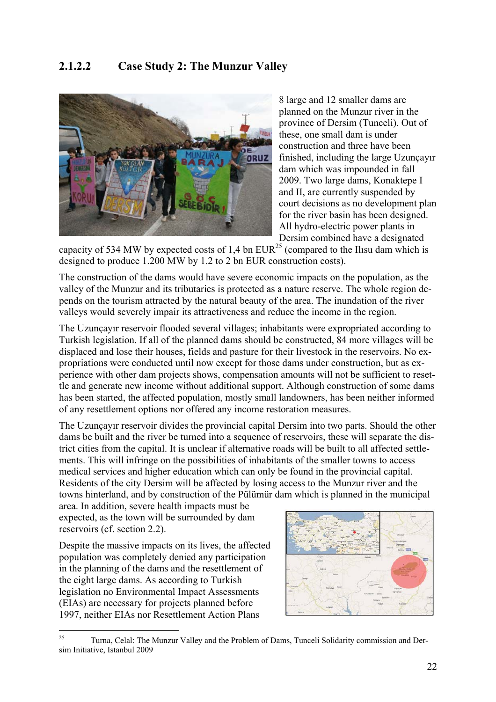#### **2.1.2.2 Case Study 2: The Munzur Valley**



8 large and 12 smaller dams are planned on the Munzur river in the province of Dersim (Tunceli). Out of these, one small dam is under construction and three have been finished, including the large Uzunçayır dam which was impounded in fall 2009. Two large dams, Konaktepe I and II, are currently suspended by court decisions as no development plan for the river basin has been designed. All hydro-electric power plants in Dersim combined have a designated

capacity of 534 MW by expected costs of 1,4 bn  $EUR^{25}$  (compared to the Ilisu dam which is designed to produce 1.200 MW by 1.2 to 2 bn EUR construction costs).

The construction of the dams would have severe economic impacts on the population, as the valley of the Munzur and its tributaries is protected as a nature reserve. The whole region depends on the tourism attracted by the natural beauty of the area. The inundation of the river valleys would severely impair its attractiveness and reduce the income in the region.

The Uzunçayır reservoir flooded several villages; inhabitants were expropriated according to Turkish legislation. If all of the planned dams should be constructed, 84 more villages will be displaced and lose their houses, fields and pasture for their livestock in the reservoirs. No expropriations were conducted until now except for those dams under construction, but as experience with other dam projects shows, compensation amounts will not be sufficient to resettle and generate new income without additional support. Although construction of some dams has been started, the affected population, mostly small landowners, has been neither informed of any resettlement options nor offered any income restoration measures.

The Uzunçayır reservoir divides the provincial capital Dersim into two parts. Should the other dams be built and the river be turned into a sequence of reservoirs, these will separate the district cities from the capital. It is unclear if alternative roads will be built to all affected settlements. This will infringe on the possibilities of inhabitants of the smaller towns to access medical services and higher education which can only be found in the provincial capital. Residents of the city Dersim will be affected by losing access to the Munzur river and the towns hinterland, and by construction of the Pülümür dam which is planned in the municipal

area. In addition, severe health impacts must be expected, as the town will be surrounded by dam reservoirs (cf. section 2.2).

Despite the massive impacts on its lives, the affected population was completely denied any participation in the planning of the dams and the resettlement of the eight large dams. As according to Turkish legislation no Environmental Impact Assessments (EIAs) are necessary for projects planned before 1997, neither EIAs nor Resettlement Action Plans



 $25$ 25 Turna, Celal: The Munzur Valley and the Problem of Dams, Tunceli Solidarity commission and Dersim Initiative, Istanbul 2009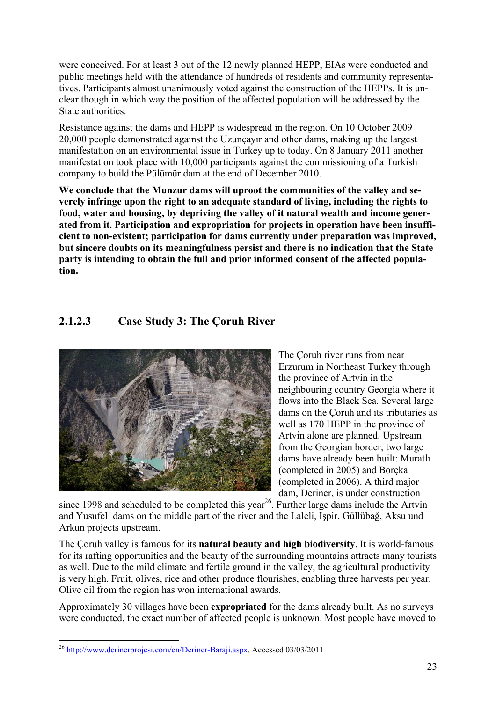were conceived. For at least 3 out of the 12 newly planned HEPP, EIAs were conducted and public meetings held with the attendance of hundreds of residents and community representatives. Participants almost unanimously voted against the construction of the HEPPs. It is unclear though in which way the position of the affected population will be addressed by the State authorities.

Resistance against the dams and HEPP is widespread in the region. On 10 October 2009 20,000 people demonstrated against the Uzunçayır and other dams, making up the largest manifestation on an environmental issue in Turkey up to today. On 8 January 2011 another manifestation took place with 10,000 participants against the commissioning of a Turkish company to build the Pülümür dam at the end of December 2010.

**We conclude that the Munzur dams will uproot the communities of the valley and severely infringe upon the right to an adequate standard of living, including the rights to food, water and housing, by depriving the valley of it natural wealth and income generated from it. Participation and expropriation for projects in operation have been insufficient to non-existent; participation for dams currently under preparation was improved, but sincere doubts on its meaningfulness persist and there is no indication that the State party is intending to obtain the full and prior informed consent of the affected population.** 

#### **2.1.2.3 Case Study 3: The Çoruh River**



The Çoruh river runs from near Erzurum in Northeast Turkey through the province of Artvin in the neighbouring country Georgia where it flows into the Black Sea. Several large dams on the Çoruh and its tributaries as well as 170 HEPP in the province of Artvin alone are planned. Upstream from the Georgian border, two large dams have already been built: Muratlı (completed in 2005) and Borçka (completed in 2006). A third major dam, Deriner, is under construction

since 1998 and scheduled to be completed this year<sup>26</sup>. Further large dams include the Artvin and Yusufeli dams on the middle part of the river and the Laleli, Işpir, Güllübağ, Aksu und Arkun projects upstream.

The Çoruh valley is famous for its **natural beauty and high biodiversity**. It is world-famous for its rafting opportunities and the beauty of the surrounding mountains attracts many tourists as well. Due to the mild climate and fertile ground in the valley, the agricultural productivity is very high. Fruit, olives, rice and other produce flourishes, enabling three harvests per year. Olive oil from the region has won international awards.

Approximately 30 villages have been **expropriated** for the dams already built. As no surveys were conducted, the exact number of affected people is unknown. Most people have moved to

<sup>1</sup> <sup>26</sup> http://www.derinerprojesi.com/en/Deriner-Baraji.aspx. Accessed 03/03/2011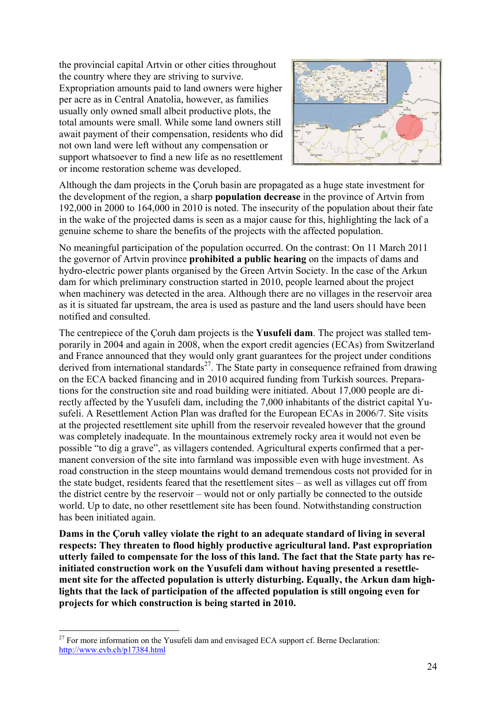the provincial capital Artvin or other cities throughout the country where they are striving to survive. Expropriation amounts paid to land owners were higher per acre as in Central Anatolia, however, as families usually only owned small albeit productive plots, the total amounts were small. While some land owners still await payment of their compensation, residents who did not own land were left without any compensation or support whatsoever to find a new life as no resettlement or income restoration scheme was developed.



Although the dam projects in the Çoruh basin are propagated as a huge state investment for the development of the region, a sharp **population decrease** in the province of Artvin from 192,000 in 2000 to 164,000 in 2010 is noted. The insecurity of the population about their fate in the wake of the projected dams is seen as a major cause for this, highlighting the lack of a genuine scheme to share the benefits of the projects with the affected population.

No meaningful participation of the population occurred. On the contrast: On 11 March 2011 the governor of Artvin province **prohibited a public hearing** on the impacts of dams and hydro-electric power plants organised by the Green Artvin Society. In the case of the Arkun dam for which preliminary construction started in 2010, people learned about the project when machinery was detected in the area. Although there are no villages in the reservoir area as it is situated far upstream, the area is used as pasture and the land users should have been notified and consulted.

The centrepiece of the Çoruh dam projects is the **Yusufeli dam**. The project was stalled temporarily in 2004 and again in 2008, when the export credit agencies (ECAs) from Switzerland and France announced that they would only grant guarantees for the project under conditions derived from international standards<sup>27</sup>. The State party in consequence refrained from drawing on the ECA backed financing and in 2010 acquired funding from Turkish sources. Preparations for the construction site and road building were initiated. About 17,000 people are directly affected by the Yusufeli dam, including the 7,000 inhabitants of the district capital Yusufeli. A Resettlement Action Plan was drafted for the European ECAs in 2006/7. Site visits at the projected resettlement site uphill from the reservoir revealed however that the ground was completely inadequate. In the mountainous extremely rocky area it would not even be possible "to dig a grave", as villagers contended. Agricultural experts confirmed that a permanent conversion of the site into farmland was impossible even with huge investment. As road construction in the steep mountains would demand tremendous costs not provided for in the state budget, residents feared that the resettlement sites – as well as villages cut off from the district centre by the reservoir – would not or only partially be connected to the outside world. Up to date, no other resettlement site has been found. Notwithstanding construction has been initiated again.

**Dams in the Çoruh valley violate the right to an adequate standard of living in several respects: They threaten to flood highly productive agricultural land. Past expropriation utterly failed to compensate for the loss of this land. The fact that the State party has reinitiated construction work on the Yusufeli dam without having presented a resettlement site for the affected population is utterly disturbing. Equally, the Arkun dam highlights that the lack of participation of the affected population is still ongoing even for projects for which construction is being started in 2010.** 

 $27$  For more information on the Yusufeli dam and envisaged ECA support cf. Berne Declaration: http://www.evb.ch/p17384.html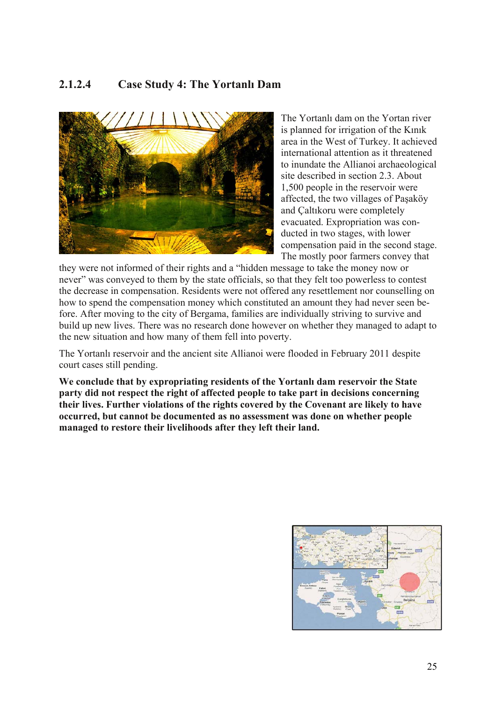#### **2.1.2.4 Case Study 4: The Yortanlı Dam**



The Yortanlı dam on the Yortan river is planned for irrigation of the Kınık area in the West of Turkey. It achieved international attention as it threatened to inundate the Allianoi archaeological site described in section 2.3. About 1,500 people in the reservoir were affected, the two villages of Paşaköy and Çaltıkoru were completely evacuated. Expropriation was conducted in two stages, with lower compensation paid in the second stage. The mostly poor farmers convey that

they were not informed of their rights and a "hidden message to take the money now or never" was conveyed to them by the state officials, so that they felt too powerless to contest the decrease in compensation. Residents were not offered any resettlement nor counselling on how to spend the compensation money which constituted an amount they had never seen before. After moving to the city of Bergama, families are individually striving to survive and build up new lives. There was no research done however on whether they managed to adapt to the new situation and how many of them fell into poverty.

The Yortanlı reservoir and the ancient site Allianoi were flooded in February 2011 despite court cases still pending.

**We conclude that by expropriating residents of the Yortanlı dam reservoir the State party did not respect the right of affected people to take part in decisions concerning their lives. Further violations of the rights covered by the Covenant are likely to have occurred, but cannot be documented as no assessment was done on whether people managed to restore their livelihoods after they left their land.**

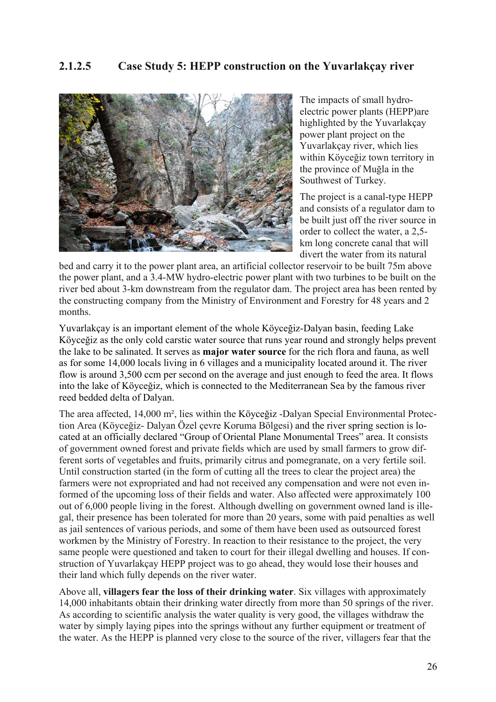

The impacts of small hydroelectric power plants (HEPP)are highlighted by the Yuvarlakçay power plant project on the Yuvarlakçay river, which lies within Köyceğiz town territory in the province of Muğla in the Southwest of Turkey.

The project is a canal-type HEPP and consists of a regulator dam to be built just off the river source in order to collect the water, a 2,5 km long concrete canal that will divert the water from its natural

bed and carry it to the power plant area, an artificial collector reservoir to be built 75m above the power plant, and a 3.4-MW hydro-electric power plant with two turbines to be built on the river bed about 3-km downstream from the regulator dam. The project area has been rented by the constructing company from the Ministry of Environment and Forestry for 48 years and 2 months.

Yuvarlakçay is an important element of the whole Köyceğiz-Dalyan basin, feeding Lake Köyceğiz as the only cold carstic water source that runs year round and strongly helps prevent the lake to be salinated. It serves as **major water source** for the rich flora and fauna, as well as for some 14,000 locals living in 6 villages and a municipality located around it. The river flow is around 3,500 ccm per second on the average and just enough to feed the area. It flows into the lake of Köyceğiz, which is connected to the Mediterranean Sea by the famous river reed bedded delta of Dalyan.

The area affected, 14,000 m², lies within the Köyceğiz -Dalyan Special Environmental Protection Area (Köyceğiz- Dalyan Özel çevre Koruma Bölgesi) and the river spring section is located at an officially declared "Group of Oriental Plane Monumental Trees" area. It consists of government owned forest and private fields which are used by small farmers to grow different sorts of vegetables and fruits, primarily citrus and pomegranate, on a very fertile soil. Until construction started (in the form of cutting all the trees to clear the project area) the farmers were not expropriated and had not received any compensation and were not even informed of the upcoming loss of their fields and water. Also affected were approximately 100 out of 6,000 people living in the forest. Although dwelling on government owned land is illegal, their presence has been tolerated for more than 20 years, some with paid penalties as well as jail sentences of various periods, and some of them have been used as outsourced forest workmen by the Ministry of Forestry. In reaction to their resistance to the project, the very same people were questioned and taken to court for their illegal dwelling and houses. If construction of Yuvarlakçay HEPP project was to go ahead, they would lose their houses and their land which fully depends on the river water.

Above all, **villagers fear the loss of their drinking water**. Six villages with approximately 14,000 inhabitants obtain their drinking water directly from more than 50 springs of the river. As according to scientific analysis the water quality is very good, the villages withdraw the water by simply laying pipes into the springs without any further equipment or treatment of the water. As the HEPP is planned very close to the source of the river, villagers fear that the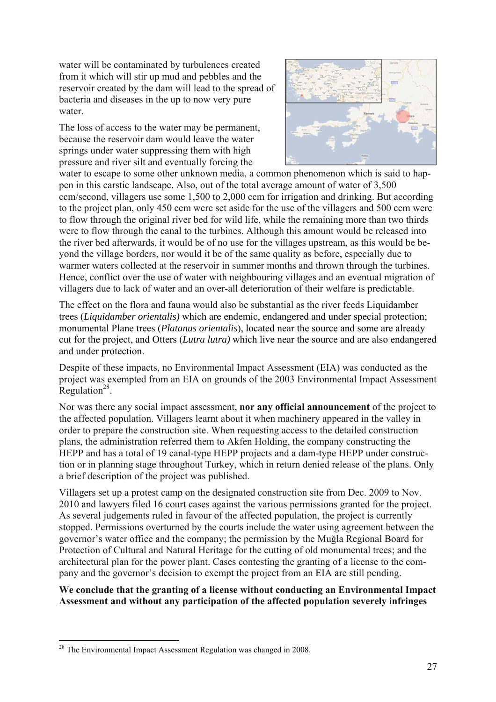water will be contaminated by turbulences created from it which will stir up mud and pebbles and the reservoir created by the dam will lead to the spread of bacteria and diseases in the up to now very pure water.

The loss of access to the water may be permanent, because the reservoir dam would leave the water springs under water suppressing them with high pressure and river silt and eventually forcing the



water to escape to some other unknown media, a common phenomenon which is said to happen in this carstic landscape. Also, out of the total average amount of water of 3,500 ccm/second, villagers use some 1,500 to 2,000 ccm for irrigation and drinking. But according to the project plan, only 450 ccm were set aside for the use of the villagers and 500 ccm were to flow through the original river bed for wild life, while the remaining more than two thirds were to flow through the canal to the turbines. Although this amount would be released into the river bed afterwards, it would be of no use for the villages upstream, as this would be beyond the village borders, nor would it be of the same quality as before, especially due to warmer waters collected at the reservoir in summer months and thrown through the turbines. Hence, conflict over the use of water with neighbouring villages and an eventual migration of villagers due to lack of water and an over-all deterioration of their welfare is predictable.

The effect on the flora and fauna would also be substantial as the river feeds Liquidamber trees (*Liquidamber orientalis)* which are endemic, endangered and under special protection; monumental Plane trees (*Platanus orientalis*), located near the source and some are already cut for the project, and Otters (*Lutra lutra)* which live near the source and are also endangered and under protection.

Despite of these impacts, no Environmental Impact Assessment (EIA) was conducted as the project was exempted from an EIA on grounds of the 2003 Environmental Impact Assessment Regulation<sup>28</sup>.

Nor was there any social impact assessment, **nor any official announcement** of the project to the affected population. Villagers learnt about it when machinery appeared in the valley in order to prepare the construction site. When requesting access to the detailed construction plans, the administration referred them to Akfen Holding, the company constructing the HEPP and has a total of 19 canal-type HEPP projects and a dam-type HEPP under construction or in planning stage throughout Turkey, which in return denied release of the plans. Only a brief description of the project was published.

Villagers set up a protest camp on the designated construction site from Dec. 2009 to Nov. 2010 and lawyers filed 16 court cases against the various permissions granted for the project. As several judgements ruled in favour of the affected population, the project is currently stopped. Permissions overturned by the courts include the water using agreement between the governor's water office and the company; the permission by the Muğla Regional Board for Protection of Cultural and Natural Heritage for the cutting of old monumental trees; and the architectural plan for the power plant. Cases contesting the granting of a license to the company and the governor's decision to exempt the project from an EIA are still pending.

**We conclude that the granting of a license without conducting an Environmental Impact Assessment and without any participation of the affected population severely infringes** 

<sup>&</sup>lt;sup>28</sup> The Environmental Impact Assessment Regulation was changed in 2008.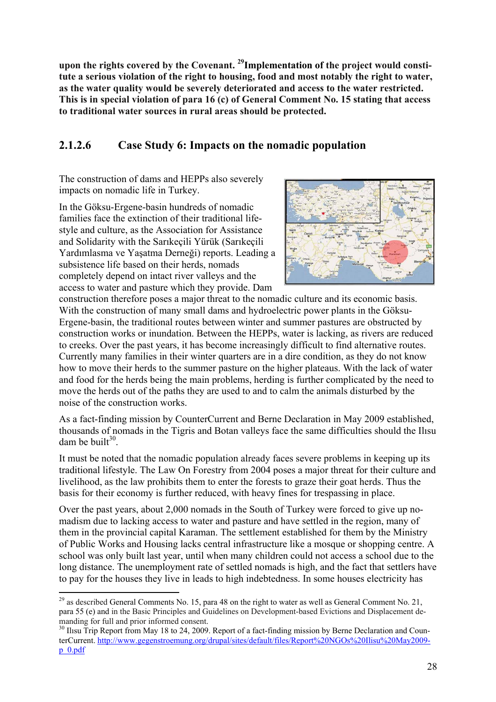**upon the rights covered by the Covenant. 29Implementation of the project would constitute a serious violation of the right to housing, food and most notably the right to water, as the water quality would be severely deteriorated and access to the water restricted. This is in special violation of para 16 (c) of General Comment No. 15 stating that access to traditional water sources in rural areas should be protected.** 

### **2.1.2.6 Case Study 6: Impacts on the nomadic population**

The construction of dams and HEPPs also severely impacts on nomadic life in Turkey.

In the Göksu-Ergene-basin hundreds of nomadic families face the extinction of their traditional lifestyle and culture, as the Association for Assistance and Solidarity with the Sarıkeçili Yürük (Sarıkeçili Yardımlasma ve Yaşatma Derneği) reports. Leading a subsistence life based on their herds, nomads completely depend on intact river valleys and the access to water and pasture which they provide. Dam



construction therefore poses a major threat to the nomadic culture and its economic basis. With the construction of many small dams and hydroelectric power plants in the Göksu-Ergene-basin, the traditional routes between winter and summer pastures are obstructed by construction works or inundation. Between the HEPPs, water is lacking, as rivers are reduced to creeks. Over the past years, it has become increasingly difficult to find alternative routes. Currently many families in their winter quarters are in a dire condition, as they do not know how to move their herds to the summer pasture on the higher plateaus. With the lack of water and food for the herds being the main problems, herding is further complicated by the need to move the herds out of the paths they are used to and to calm the animals disturbed by the noise of the construction works.

As a fact-finding mission by CounterCurrent and Berne Declaration in May 2009 established, thousands of nomads in the Tigris and Botan valleys face the same difficulties should the Ilısu dam be built $30<sup>30</sup>$ 

It must be noted that the nomadic population already faces severe problems in keeping up its traditional lifestyle. The Law On Forestry from 2004 poses a major threat for their culture and livelihood, as the law prohibits them to enter the forests to graze their goat herds. Thus the basis for their economy is further reduced, with heavy fines for trespassing in place.

Over the past years, about 2,000 nomads in the South of Turkey were forced to give up nomadism due to lacking access to water and pasture and have settled in the region, many of them in the provincial capital Karaman. The settlement established for them by the Ministry of Public Works and Housing lacks central infrastructure like a mosque or shopping centre. A school was only built last year, until when many children could not access a school due to the long distance. The unemployment rate of settled nomads is high, and the fact that settlers have to pay for the houses they live in leads to high indebtedness. In some houses electricity has

<sup>1</sup> <sup>29</sup> as described General Comments No. 15, para 48 on the right to water as well as General Comment No. 21, para 55 (e) and in the Basic Principles and Guidelines on Development-based Evictions and Displacement de-

<sup>&</sup>lt;sup>30</sup> Ilısu Trip Report from May 18 to 24, 2009. Report of a fact-finding mission by Berne Declaration and CounterCurrent. http://www.gegenstroemung.org/drupal/sites/default/files/Report%20NGOs%20Ilisu%20May2009 p\_0.pdf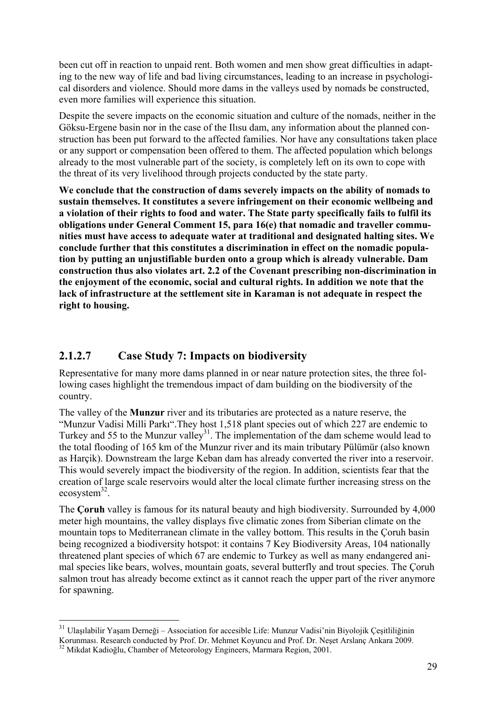been cut off in reaction to unpaid rent. Both women and men show great difficulties in adapting to the new way of life and bad living circumstances, leading to an increase in psychological disorders and violence. Should more dams in the valleys used by nomads be constructed, even more families will experience this situation.

Despite the severe impacts on the economic situation and culture of the nomads, neither in the Göksu-Ergene basin nor in the case of the Ilısu dam, any information about the planned construction has been put forward to the affected families. Nor have any consultations taken place or any support or compensation been offered to them. The affected population which belongs already to the most vulnerable part of the society, is completely left on its own to cope with the threat of its very livelihood through projects conducted by the state party.

**We conclude that the construction of dams severely impacts on the ability of nomads to sustain themselves. It constitutes a severe infringement on their economic wellbeing and a violation of their rights to food and water. The State party specifically fails to fulfil its obligations under General Comment 15, para 16(e) that nomadic and traveller communities must have access to adequate water at traditional and designated halting sites. We conclude further that this constitutes a discrimination in effect on the nomadic population by putting an unjustifiable burden onto a group which is already vulnerable. Dam construction thus also violates art. 2.2 of the Covenant prescribing non-discrimination in the enjoyment of the economic, social and cultural rights. In addition we note that the lack of infrastructure at the settlement site in Karaman is not adequate in respect the right to housing.** 

#### **2.1.2.7 Case Study 7: Impacts on biodiversity**

Representative for many more dams planned in or near nature protection sites, the three following cases highlight the tremendous impact of dam building on the biodiversity of the country.

The valley of the **Munzur** river and its tributaries are protected as a nature reserve, the "Munzur Vadisi Milli Parkı".They host 1,518 plant species out of which 227 are endemic to Turkey and 55 to the Munzur valley<sup>31</sup>. The implementation of the dam scheme would lead to the total flooding of 165 km of the Munzur river and its main tributary Pülümür (also known as Harçik). Downstream the large Keban dam has already converted the river into a reservoir. This would severely impact the biodiversity of the region. In addition, scientists fear that the creation of large scale reservoirs would alter the local climate further increasing stress on the ecosystem $^{32}$ .

The **Çoruh** valley is famous for its natural beauty and high biodiversity. Surrounded by 4,000 meter high mountains, the valley displays five climatic zones from Siberian climate on the mountain tops to Mediterranean climate in the valley bottom. This results in the Çoruh basin being recognized a biodiversity hotspot: it contains 7 Key Biodiversity Areas, 104 nationally threatened plant species of which 67 are endemic to Turkey as well as many endangered animal species like bears, wolves, mountain goats, several butterfly and trout species. The Çoruh salmon trout has already become extinct as it cannot reach the upper part of the river anymore for spawning.

<sup>31</sup> Ulaşılabilir Yaşam Derneği – Association for accesible Life: Munzur Vadisi'nin Biyolojik Çeşitliliğinin

Korunması. Research conducted by Prof. Dr. Mehmet Koyuncu and Prof. Dr. Neşet Arslanç Ankara 2009. 32 Mikdat Kadioğlu, Chamber of Meteorology Engineers, Marmara Region, 2001.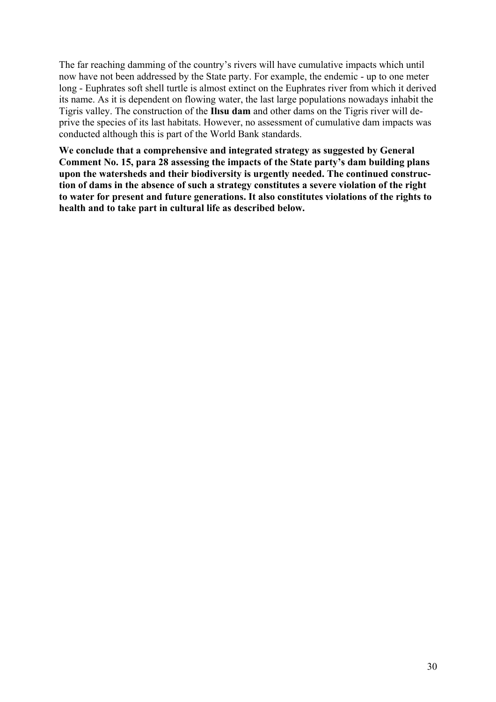The far reaching damming of the country's rivers will have cumulative impacts which until now have not been addressed by the State party. For example, the endemic - up to one meter long - Euphrates soft shell turtle is almost extinct on the Euphrates river from which it derived its name. As it is dependent on flowing water, the last large populations nowadays inhabit the Tigris valley. The construction of the **Ilısu dam** and other dams on the Tigris river will deprive the species of its last habitats. However, no assessment of cumulative dam impacts was conducted although this is part of the World Bank standards.

**We conclude that a comprehensive and integrated strategy as suggested by General Comment No. 15, para 28 assessing the impacts of the State party's dam building plans upon the watersheds and their biodiversity is urgently needed. The continued construction of dams in the absence of such a strategy constitutes a severe violation of the right to water for present and future generations. It also constitutes violations of the rights to health and to take part in cultural life as described below.**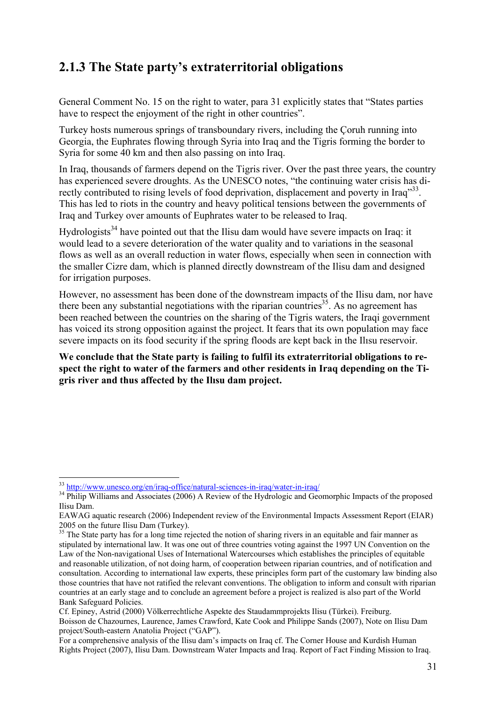### **2.1.3 The State party's extraterritorial obligations**

General Comment No. 15 on the right to water, para 31 explicitly states that "States parties have to respect the enjoyment of the right in other countries".

Turkey hosts numerous springs of transboundary rivers, including the Çoruh running into Georgia, the Euphrates flowing through Syria into Iraq and the Tigris forming the border to Syria for some 40 km and then also passing on into Iraq.

In Iraq, thousands of farmers depend on the Tigris river. Over the past three years, the country has experienced severe droughts. As the UNESCO notes, "the continuing water crisis has directly contributed to rising levels of food deprivation, displacement and poverty in Iraq<sup>333</sup>. This has led to riots in the country and heavy political tensions between the governments of Iraq and Turkey over amounts of Euphrates water to be released to Iraq.

Hydrologists<sup>34</sup> have pointed out that the Ilisu dam would have severe impacts on Iraq: it would lead to a severe deterioration of the water quality and to variations in the seasonal flows as well as an overall reduction in water flows, especially when seen in connection with the smaller Cizre dam, which is planned directly downstream of the Ilisu dam and designed for irrigation purposes.

However, no assessment has been done of the downstream impacts of the Ilisu dam, nor have there been any substantial negotiations with the riparian countries<sup>35</sup>. As no agreement has been reached between the countries on the sharing of the Tigris waters, the Iraqi government has voiced its strong opposition against the project. It fears that its own population may face severe impacts on its food security if the spring floods are kept back in the Ilısu reservoir.

**We conclude that the State party is failing to fulfil its extraterritorial obligations to respect the right to water of the farmers and other residents in Iraq depending on the Tigris river and thus affected by the Ilısu dam project.** 

For a comprehensive analysis of the Ilisu dam's impacts on Iraq cf. The Corner House and Kurdish Human Rights Project (2007), Ilisu Dam. Downstream Water Impacts and Iraq. Report of Fact Finding Mission to Iraq.

<sup>&</sup>lt;sup>33</sup> http://www.unesco.org/en/iraq-office/natural-sciences-in-iraq/water-in-iraq/

<sup>&</sup>lt;sup>34</sup> Philip Williams and Associates (2006) A Review of the Hydrologic and Geomorphic Impacts of the proposed Ilisu Dam.

EAWAG aquatic research (2006) Independent review of the Environmental Impacts Assessment Report (EIAR) 2005 on the future Ilisu Dam (Turkey).

<sup>&</sup>lt;sup>35</sup> The State party has for a long time rejected the notion of sharing rivers in an equitable and fair manner as stipulated by international law. It was one out of three countries voting against the 1997 UN Convention on the Law of the Non-navigational Uses of International Watercourses which establishes the principles of equitable and reasonable utilization, of not doing harm, of cooperation between riparian countries, and of notification and consultation. According to international law experts, these principles form part of the customary law binding also those countries that have not ratified the relevant conventions. The obligation to inform and consult with riparian countries at an early stage and to conclude an agreement before a project is realized is also part of the World Bank Safeguard Policies.

Cf. Epiney, Astrid (2000) Völkerrechtliche Aspekte des Staudammprojekts Ilisu (Türkei). Freiburg. Boisson de Chazournes, Laurence, James Crawford, Kate Cook and Philippe Sands (2007), Note on Ilisu Dam project/South-eastern Anatolia Project ("GAP").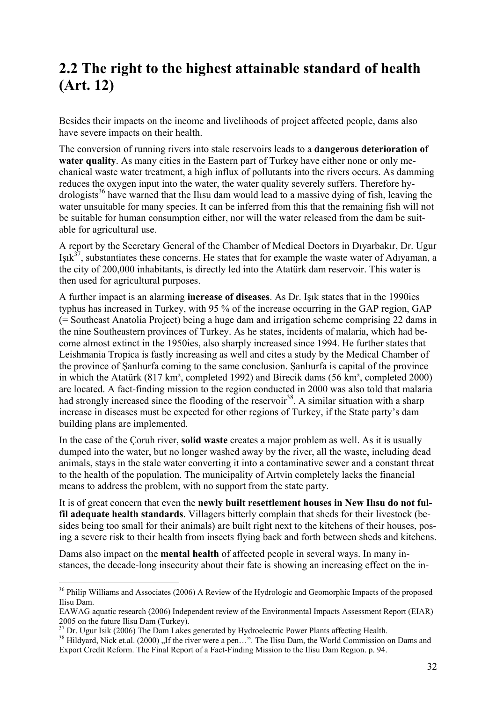## **2.2 The right to the highest attainable standard of health (Art. 12)**

Besides their impacts on the income and livelihoods of project affected people, dams also have severe impacts on their health.

The conversion of running rivers into stale reservoirs leads to a **dangerous deterioration of water quality**. As many cities in the Eastern part of Turkey have either none or only mechanical waste water treatment, a high influx of pollutants into the rivers occurs. As damming reduces the oxygen input into the water, the water quality severely suffers. Therefore hydrologists<sup>36</sup> have warned that the Ilisu dam would lead to a massive dying of fish, leaving the water unsuitable for many species. It can be inferred from this that the remaining fish will not be suitable for human consumption either, nor will the water released from the dam be suitable for agricultural use.

A report by the Secretary General of the Chamber of Medical Doctors in Dıyarbakır, Dr. Ugur  $I$ substantiates these concerns. He states that for example the waste water of Adıyaman, a the city of 200,000 inhabitants, is directly led into the Atatürk dam reservoir. This water is then used for agricultural purposes.

A further impact is an alarming **increase of diseases**. As Dr. Işık states that in the 1990ies typhus has increased in Turkey, with 95 % of the increase occurring in the GAP region, GAP (= Southeast Anatolia Project) being a huge dam and irrigation scheme comprising 22 dams in the nine Southeastern provinces of Turkey. As he states, incidents of malaria, which had become almost extinct in the 1950ies, also sharply increased since 1994. He further states that Leishmania Tropica is fastly increasing as well and cites a study by the Medical Chamber of the province of Şanlıurfa coming to the same conclusion. Şanlıurfa is capital of the province in which the Atatürk (817 km², completed 1992) and Birecik dams (56 km², completed 2000) are located. A fact-finding mission to the region conducted in 2000 was also told that malaria had strongly increased since the flooding of the reservoir<sup>38</sup>. A similar situation with a sharp increase in diseases must be expected for other regions of Turkey, if the State party's dam building plans are implemented.

In the case of the Çoruh river, **solid waste** creates a major problem as well. As it is usually dumped into the water, but no longer washed away by the river, all the waste, including dead animals, stays in the stale water converting it into a contaminative sewer and a constant threat to the health of the population. The municipality of Artvin completely lacks the financial means to address the problem, with no support from the state party.

It is of great concern that even the **newly built resettlement houses in New Ilısu do not fulfil adequate health standards**. Villagers bitterly complain that sheds for their livestock (besides being too small for their animals) are built right next to the kitchens of their houses, posing a severe risk to their health from insects flying back and forth between sheds and kitchens.

Dams also impact on the **mental health** of affected people in several ways. In many instances, the decade-long insecurity about their fate is showing an increasing effect on the in-

<sup>&</sup>lt;sup>36</sup> Philip Williams and Associates (2006) A Review of the Hydrologic and Geomorphic Impacts of the proposed Ilisu Dam.

EAWAG aquatic research (2006) Independent review of the Environmental Impacts Assessment Report (EIAR) 2005 on the future Ilisu Dam (Turkey).

<sup>&</sup>lt;sup>37</sup> Dr. Ugur Isik (2006) The Dam Lakes generated by Hydroelectric Power Plants affecting Health.<br><sup>38</sup> Hildyard, Nick et.al. (2000) , If the river were a pen…". The Ilisu Dam, the World Commission on Dams and Export Credit Reform. The Final Report of a Fact-Finding Mission to the Ilisu Dam Region. p. 94.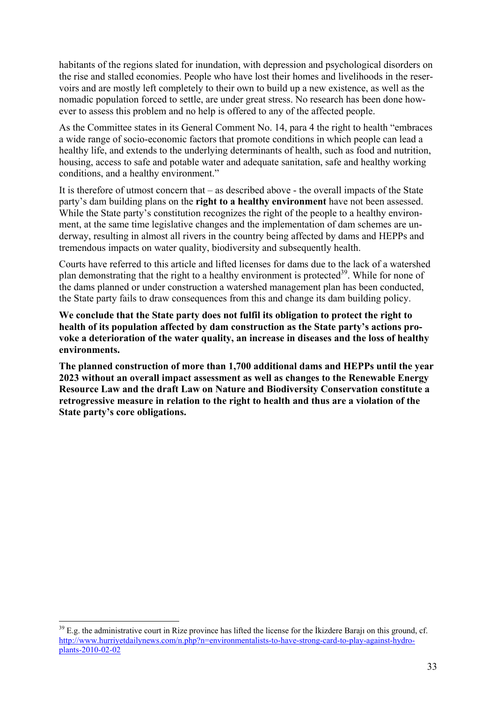habitants of the regions slated for inundation, with depression and psychological disorders on the rise and stalled economies. People who have lost their homes and livelihoods in the reservoirs and are mostly left completely to their own to build up a new existence, as well as the nomadic population forced to settle, are under great stress. No research has been done however to assess this problem and no help is offered to any of the affected people.

As the Committee states in its General Comment No. 14, para 4 the right to health "embraces a wide range of socio-economic factors that promote conditions in which people can lead a healthy life, and extends to the underlying determinants of health, such as food and nutrition, housing, access to safe and potable water and adequate sanitation, safe and healthy working conditions, and a healthy environment."

It is therefore of utmost concern that – as described above - the overall impacts of the State party's dam building plans on the **right to a healthy environment** have not been assessed. While the State party's constitution recognizes the right of the people to a healthy environment, at the same time legislative changes and the implementation of dam schemes are underway, resulting in almost all rivers in the country being affected by dams and HEPPs and tremendous impacts on water quality, biodiversity and subsequently health.

Courts have referred to this article and lifted licenses for dams due to the lack of a watershed plan demonstrating that the right to a healthy environment is protected<sup>39</sup>. While for none of the dams planned or under construction a watershed management plan has been conducted, the State party fails to draw consequences from this and change its dam building policy.

**We conclude that the State party does not fulfil its obligation to protect the right to health of its population affected by dam construction as the State party's actions provoke a deterioration of the water quality, an increase in diseases and the loss of healthy environments.** 

**The planned construction of more than 1,700 additional dams and HEPPs until the year 2023 without an overall impact assessment as well as changes to the Renewable Energy Resource Law and the draft Law on Nature and Biodiversity Conservation constitute a retrogressive measure in relation to the right to health and thus are a violation of the State party's core obligations.** 

<sup>&</sup>lt;sup>39</sup> E.g. the administrative court in Rize province has lifted the license for the Ikizdere Barajı on this ground, cf. http://www.hurriyetdailynews.com/n.php?n=environmentalists-to-have-strong-card-to-play-against-hydroplants-2010-02-02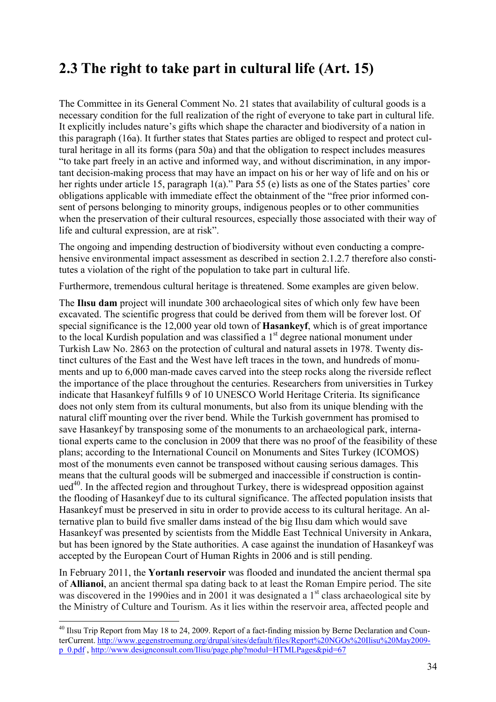# **2.3 The right to take part in cultural life (Art. 15)**

The Committee in its General Comment No. 21 states that availability of cultural goods is a necessary condition for the full realization of the right of everyone to take part in cultural life. It explicitly includes nature's gifts which shape the character and biodiversity of a nation in this paragraph (16a). It further states that States parties are obliged to respect and protect cultural heritage in all its forms (para 50a) and that the obligation to respect includes measures "to take part freely in an active and informed way, and without discrimination, in any important decision-making process that may have an impact on his or her way of life and on his or her rights under article 15, paragraph 1(a)." Para 55 (e) lists as one of the States parties' core obligations applicable with immediate effect the obtainment of the "free prior informed consent of persons belonging to minority groups, indigenous peoples or to other communities when the preservation of their cultural resources, especially those associated with their way of life and cultural expression, are at risk".

The ongoing and impending destruction of biodiversity without even conducting a comprehensive environmental impact assessment as described in section 2.1.2.7 therefore also constitutes a violation of the right of the population to take part in cultural life.

Furthermore, tremendous cultural heritage is threatened. Some examples are given below.

The **Ilısu dam** project will inundate 300 archaeological sites of which only few have been excavated. The scientific progress that could be derived from them will be forever lost. Of special significance is the 12,000 year old town of **Hasankeyf**, which is of great importance to the local Kurdish population and was classified a  $1<sup>st</sup>$  degree national monument under Turkish Law No. 2863 on the protection of cultural and natural assets in 1978. Twenty distinct cultures of the East and the West have left traces in the town, and hundreds of monuments and up to 6,000 man-made caves carved into the steep rocks along the riverside reflect the importance of the place throughout the centuries. Researchers from universities in Turkey indicate that Hasankeyf fulfills 9 of 10 UNESCO World Heritage Criteria. Its significance does not only stem from its cultural monuments, but also from its unique blending with the natural cliff mounting over the river bend. While the Turkish government has promised to save Hasankeyf by transposing some of the monuments to an archaeological park, international experts came to the conclusion in 2009 that there was no proof of the feasibility of these plans; according to the International Council on Monuments and Sites Turkey (ICOMOS) most of the monuments even cannot be transposed without causing serious damages. This means that the cultural goods will be submerged and inaccessible if construction is contin $ued<sup>40</sup>$ . In the affected region and throughout Turkey, there is widespread opposition against the flooding of Hasankeyf due to its cultural significance. The affected population insists that Hasankeyf must be preserved in situ in order to provide access to its cultural heritage. An alternative plan to build five smaller dams instead of the big Ilısu dam which would save Hasankeyf was presented by scientists from the Middle East Technical University in Ankara, but has been ignored by the State authorities. A case against the inundation of Hasankeyf was accepted by the European Court of Human Rights in 2006 and is still pending.

In February 2011, the **Yortanlı reservoir** was flooded and inundated the ancient thermal spa of **Allianoi**, an ancient thermal spa dating back to at least the Roman Empire period. The site was discovered in the 1990ies and in 2001 it was designated a  $1<sup>st</sup>$  class archaeological site by the Ministry of Culture and Tourism. As it lies within the reservoir area, affected people and

<sup>&</sup>lt;sup>40</sup> Ilisu Trip Report from May 18 to 24, 2009. Report of a fact-finding mission by Berne Declaration and CounterCurrent. http://www.gegenstroemung.org/drupal/sites/default/files/Report%20NGOs%20Ilisu%20May2009 p\_0.pdf , http://www.designconsult.com/Ilisu/page.php?modul=HTMLPages&pid=67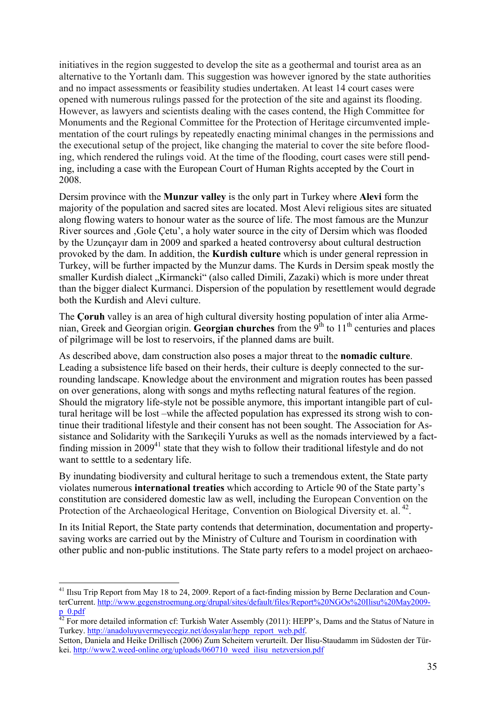initiatives in the region suggested to develop the site as a geothermal and tourist area as an alternative to the Yortanlı dam. This suggestion was however ignored by the state authorities and no impact assessments or feasibility studies undertaken. At least 14 court cases were opened with numerous rulings passed for the protection of the site and against its flooding. However, as lawyers and scientists dealing with the cases contend, the High Committee for Monuments and the Regional Committee for the Protection of Heritage circumvented implementation of the court rulings by repeatedly enacting minimal changes in the permissions and the executional setup of the project, like changing the material to cover the site before flooding, which rendered the rulings void. At the time of the flooding, court cases were still pending, including a case with the European Court of Human Rights accepted by the Court in 2008.

Dersim province with the **Munzur valley** is the only part in Turkey where **Alevi** form the majority of the population and sacred sites are located. Most Alevi religious sites are situated along flowing waters to honour water as the source of life. The most famous are the Munzur River sources and 'Gole Çetu', a holy water source in the city of Dersim which was flooded by the Uzunçayır dam in 2009 and sparked a heated controversy about cultural destruction provoked by the dam. In addition, the **Kurdish culture** which is under general repression in Turkey, will be further impacted by the Munzur dams. The Kurds in Dersim speak mostly the smaller Kurdish dialect "Kirmancki" (also called Dimili, Zazaki) which is more under threat than the bigger dialect Kurmanci. Dispersion of the population by resettlement would degrade both the Kurdish and Alevi culture.

The **Çoruh** valley is an area of high cultural diversity hosting population of inter alia Armenian, Greek and Georgian origin. **Georgian churches** from the 9<sup>th</sup> to 11<sup>th</sup> centuries and places of pilgrimage will be lost to reservoirs, if the planned dams are built.

As described above, dam construction also poses a major threat to the **nomadic culture**. Leading a subsistence life based on their herds, their culture is deeply connected to the surrounding landscape. Knowledge about the environment and migration routes has been passed on over generations, along with songs and myths reflecting natural features of the region. Should the migratory life-style not be possible anymore, this important intangible part of cultural heritage will be lost –while the affected population has expressed its strong wish to continue their traditional lifestyle and their consent has not been sought. The Association for Assistance and Solidarity with the Sarıkeçili Yuruks as well as the nomads interviewed by a factfinding mission in  $2009^{41}$  state that they wish to follow their traditional lifestyle and do not want to setttle to a sedentary life.

By inundating biodiversity and cultural heritage to such a tremendous extent, the State party violates numerous **international treaties** which according to Article 90 of the State party's constitution are considered domestic law as well, including the European Convention on the Protection of the Archaeological Heritage, Convention on Biological Diversity et. al.<sup>42</sup>.

In its Initial Report, the State party contends that determination, documentation and propertysaving works are carried out by the Ministry of Culture and Tourism in coordination with other public and non-public institutions. The State party refers to a model project on archaeo-

<sup>&</sup>lt;sup>41</sup> Ilısu Trip Report from May 18 to 24, 2009. Report of a fact-finding mission by Berne Declaration and CounterCurrent. http://www.gegenstroemung.org/drupal/sites/default/files/Report%20NGOs%20Ilisu%20May2009 p\_0.pdf

<sup>&</sup>lt;sup>42</sup> For more detailed information cf: Turkish Water Assembly (2011): HEPP's, Dams and the Status of Nature in Turkey. http://anadoluyuvermeyecegiz.net/dosyalar/hepp\_report\_web.pdf.

Setton, Daniela and Heike Drillisch (2006) Zum Scheitern verurteilt. Der Ilisu-Staudamm im Südosten der Türkei. http://www2.weed-online.org/uploads/060710\_weed\_ilisu\_netzversion.pdf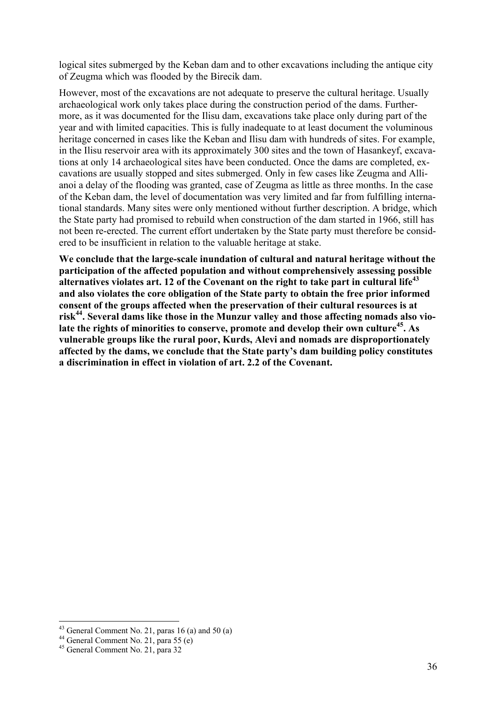logical sites submerged by the Keban dam and to other excavations including the antique city of Zeugma which was flooded by the Birecik dam.

However, most of the excavations are not adequate to preserve the cultural heritage. Usually archaeological work only takes place during the construction period of the dams. Furthermore, as it was documented for the Ilisu dam, excavations take place only during part of the year and with limited capacities. This is fully inadequate to at least document the voluminous heritage concerned in cases like the Keban and Ilisu dam with hundreds of sites. For example, in the Ilisu reservoir area with its approximately 300 sites and the town of Hasankeyf, excavations at only 14 archaeological sites have been conducted. Once the dams are completed, excavations are usually stopped and sites submerged. Only in few cases like Zeugma and Allianoi a delay of the flooding was granted, case of Zeugma as little as three months. In the case of the Keban dam, the level of documentation was very limited and far from fulfilling international standards. Many sites were only mentioned without further description. A bridge, which the State party had promised to rebuild when construction of the dam started in 1966, still has not been re-erected. The current effort undertaken by the State party must therefore be considered to be insufficient in relation to the valuable heritage at stake.

**We conclude that the large-scale inundation of cultural and natural heritage without the participation of the affected population and without comprehensively assessing possible alternatives violates art. 12 of the Covenant on the right to take part in cultural life43 and also violates the core obligation of the State party to obtain the free prior informed consent of the groups affected when the preservation of their cultural resources is at**  risk<sup>44</sup>. Several dams like those in the Munzur valley and those affecting nomads also vio**late the rights of minorities to conserve, promote and develop their own culture45. As vulnerable groups like the rural poor, Kurds, Alevi and nomads are disproportionately affected by the dams, we conclude that the State party's dam building policy constitutes a discrimination in effect in violation of art. 2.2 of the Covenant.** 

 $43$  General Comment No. 21, paras 16 (a) and 50 (a)

 $44$  General Comment No. 21, para 55 (e)

<sup>45</sup> General Comment No. 21, para 32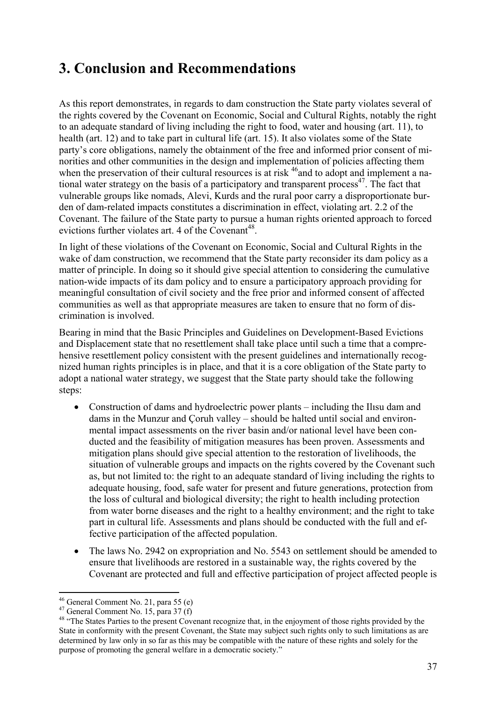### **3. Conclusion and Recommendations**

As this report demonstrates, in regards to dam construction the State party violates several of the rights covered by the Covenant on Economic, Social and Cultural Rights, notably the right to an adequate standard of living including the right to food, water and housing (art. 11), to health (art. 12) and to take part in cultural life (art. 15). It also violates some of the State party's core obligations, namely the obtainment of the free and informed prior consent of minorities and other communities in the design and implementation of policies affecting them when the preservation of their cultural resources is at risk <sup>46</sup> and to adopt and implement a national water strategy on the basis of a participatory and transparent process<sup>47</sup>. The fact that vulnerable groups like nomads, Alevi, Kurds and the rural poor carry a disproportionate burden of dam-related impacts constitutes a discrimination in effect, violating art. 2.2 of the Covenant. The failure of the State party to pursue a human rights oriented approach to forced evictions further violates art. 4 of the Covenant<sup>48</sup>.

In light of these violations of the Covenant on Economic, Social and Cultural Rights in the wake of dam construction, we recommend that the State party reconsider its dam policy as a matter of principle. In doing so it should give special attention to considering the cumulative nation-wide impacts of its dam policy and to ensure a participatory approach providing for meaningful consultation of civil society and the free prior and informed consent of affected communities as well as that appropriate measures are taken to ensure that no form of discrimination is involved.

Bearing in mind that the Basic Principles and Guidelines on Development-Based Evictions and Displacement state that no resettlement shall take place until such a time that a comprehensive resettlement policy consistent with the present guidelines and internationally recognized human rights principles is in place, and that it is a core obligation of the State party to adopt a national water strategy, we suggest that the State party should take the following steps:

- Construction of dams and hydroelectric power plants including the Ilisu dam and dams in the Munzur and Çoruh valley – should be halted until social and environmental impact assessments on the river basin and/or national level have been conducted and the feasibility of mitigation measures has been proven. Assessments and mitigation plans should give special attention to the restoration of livelihoods, the situation of vulnerable groups and impacts on the rights covered by the Covenant such as, but not limited to: the right to an adequate standard of living including the rights to adequate housing, food, safe water for present and future generations, protection from the loss of cultural and biological diversity; the right to health including protection from water borne diseases and the right to a healthy environment; and the right to take part in cultural life. Assessments and plans should be conducted with the full and effective participation of the affected population.
- The laws No. 2942 on expropriation and No. 5543 on settlement should be amended to ensure that livelihoods are restored in a sustainable way, the rights covered by the Covenant are protected and full and effective participation of project affected people is

<sup>1</sup> 46 General Comment No. 21, para 55 (e)

 $47$  General Comment No. 15, para 37 (f)

<sup>&</sup>lt;sup>48</sup> "The States Parties to the present Covenant recognize that, in the enjoyment of those rights provided by the State in conformity with the present Covenant, the State may subject such rights only to such limitations as are determined by law only in so far as this may be compatible with the nature of these rights and solely for the purpose of promoting the general welfare in a democratic society."